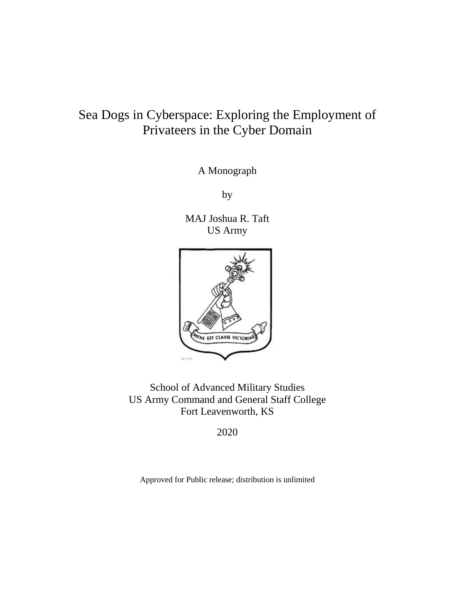# Sea Dogs in Cyberspace: Exploring the Employment of Privateers in the Cyber Domain

A Monograph

by

MAJ Joshua R. Taft US Army



School of Advanced Military Studies US Army Command and General Staff College Fort Leavenworth, KS

2020

Approved for Public release; distribution is unlimited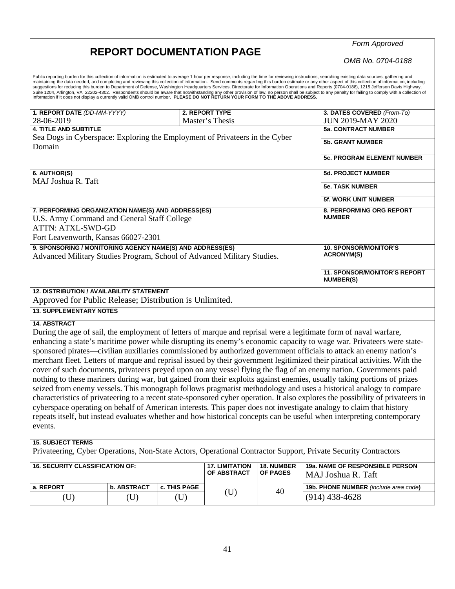## **REPORT DOCUMENTATION PAGE**

*Form Approved*

*OMB No. 0704-0188*

| Approved for Public Release; Distribution is Unlimited.<br><b>13. SUPPLEMENTARY NOTES</b>                                     |  |  |                 |  |                                                              |
|-------------------------------------------------------------------------------------------------------------------------------|--|--|-----------------|--|--------------------------------------------------------------|
| <b>12. DISTRIBUTION / AVAILABILITY STATEMENT</b>                                                                              |  |  |                 |  | <b>NUMBER(S)</b>                                             |
| Advanced Military Studies Program, School of Advanced Military Studies.                                                       |  |  |                 |  | <b>11. SPONSOR/MONITOR'S REPORT</b>                          |
| Fort Leavenworth, Kansas 66027-2301<br>9. SPONSORING / MONITORING AGENCY NAME(S) AND ADDRESS(ES)                              |  |  |                 |  | <b>10. SPONSOR/MONITOR'S</b><br><b>ACRONYM(S)</b>            |
| 7. PERFORMING ORGANIZATION NAME(S) AND ADDRESS(ES)<br>U.S. Army Command and General Staff College<br><b>ATTN: ATXL-SWD-GD</b> |  |  |                 |  | 8. PERFORMING ORG REPORT<br><b>NUMBER</b>                    |
|                                                                                                                               |  |  |                 |  | <b>5f. WORK UNIT NUMBER</b>                                  |
| 6. AUTHOR(S)<br>MAJ Joshua R. Taft                                                                                            |  |  |                 |  | <b>5d. PROJECT NUMBER</b><br><b>5e. TASK NUMBER</b>          |
| Sea Dogs in Cyberspace: Exploring the Employment of Privateers in the Cyber<br>Domain                                         |  |  |                 |  | <b>5b. GRANT NUMBER</b><br><b>5c. PROGRAM ELEMENT NUMBER</b> |
| 28-06-2019<br><b>4. TITLE AND SUBTITLE</b>                                                                                    |  |  | Master's Thesis |  | <b>JUN 2019-MAY 2020</b><br><b>5a. CONTRACT NUMBER</b>       |
| 1. REPORT DATE (DD-MM-YYYY)                                                                                                   |  |  | 2. REPORT TYPE  |  | 3. DATES COVERED (From-To)                                   |

(U) (U) (U) (U)  $^{40}$  (914) 438-4628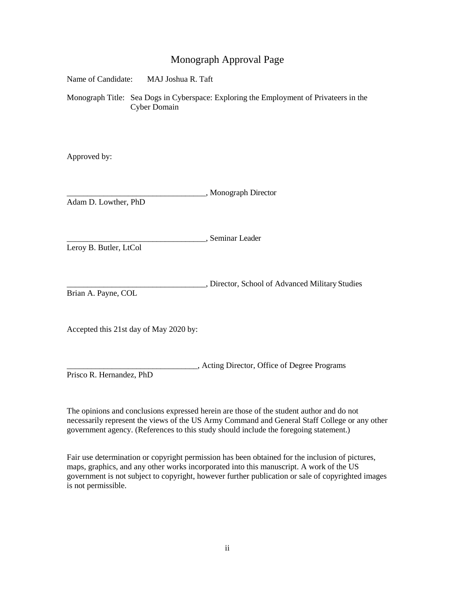## Monograph Approval Page

| Name of Candidate:                     | MAJ Joshua R. Taft  |                                                                                        |
|----------------------------------------|---------------------|----------------------------------------------------------------------------------------|
|                                        | <b>Cyber Domain</b> | Monograph Title: Sea Dogs in Cyberspace: Exploring the Employment of Privateers in the |
| Approved by:                           |                     |                                                                                        |
| Adam D. Lowther, PhD                   |                     | , Monograph Director                                                                   |
| Leroy B. Butler, LtCol                 |                     | , Seminar Leader                                                                       |
| Brian A. Payne, COL                    |                     | , Director, School of Advanced Military Studies                                        |
| Accepted this 21st day of May 2020 by: |                     |                                                                                        |
| Prisco R. Hernandez, PhD               |                     | , Acting Director, Office of Degree Programs                                           |

The opinions and conclusions expressed herein are those of the student author and do not necessarily represent the views of the US Army Command and General Staff College or any other government agency. (References to this study should include the foregoing statement.)

Fair use determination or copyright permission has been obtained for the inclusion of pictures, maps, graphics, and any other works incorporated into this manuscript. A work of the US government is not subject to copyright, however further publication or sale of copyrighted images is not permissible.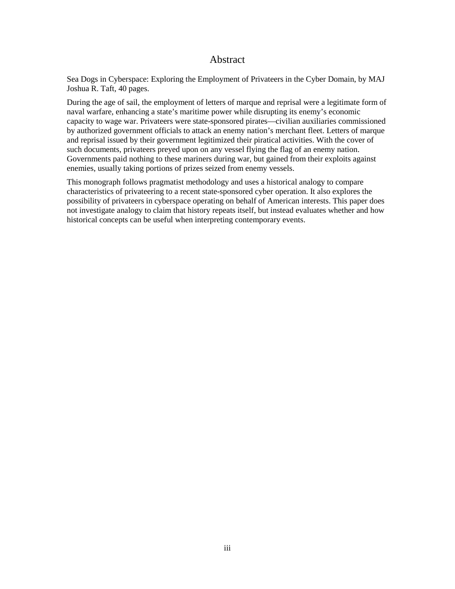## Abstract

Sea Dogs in Cyberspace: Exploring the Employment of Privateers in the Cyber Domain, by MAJ Joshua R. Taft, 40 pages.

During the age of sail, the employment of letters of marque and reprisal were a legitimate form of naval warfare, enhancing a state's maritime power while disrupting its enemy's economic capacity to wage war. Privateers were state-sponsored pirates—civilian auxiliaries commissioned by authorized government officials to attack an enemy nation's merchant fleet. Letters of marque and reprisal issued by their government legitimized their piratical activities. With the cover of such documents, privateers preyed upon on any vessel flying the flag of an enemy nation. Governments paid nothing to these mariners during war, but gained from their exploits against enemies, usually taking portions of prizes seized from enemy vessels.

This monograph follows pragmatist methodology and uses a historical analogy to compare characteristics of privateering to a recent state-sponsored cyber operation. It also explores the possibility of privateers in cyberspace operating on behalf of American interests. This paper does not investigate analogy to claim that history repeats itself, but instead evaluates whether and how historical concepts can be useful when interpreting contemporary events.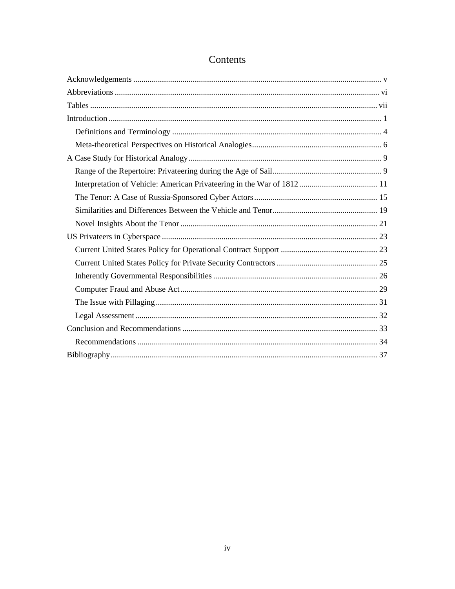## Contents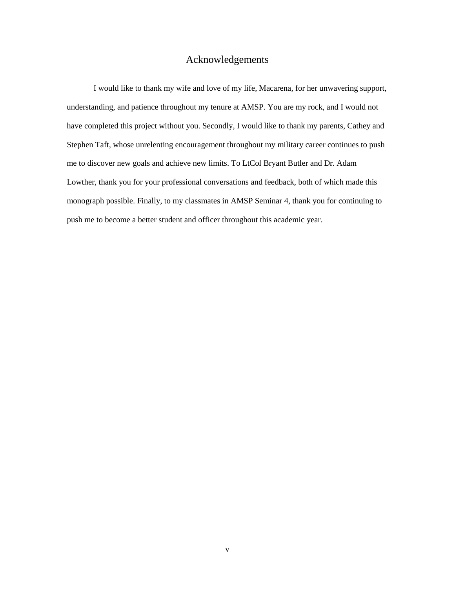## Acknowledgements

<span id="page-5-0"></span>I would like to thank my wife and love of my life, Macarena, for her unwavering support, understanding, and patience throughout my tenure at AMSP. You are my rock, and I would not have completed this project without you. Secondly, I would like to thank my parents, Cathey and Stephen Taft, whose unrelenting encouragement throughout my military career continues to push me to discover new goals and achieve new limits. To LtCol Bryant Butler and Dr. Adam Lowther, thank you for your professional conversations and feedback, both of which made this monograph possible. Finally, to my classmates in AMSP Seminar 4, thank you for continuing to push me to become a better student and officer throughout this academic year.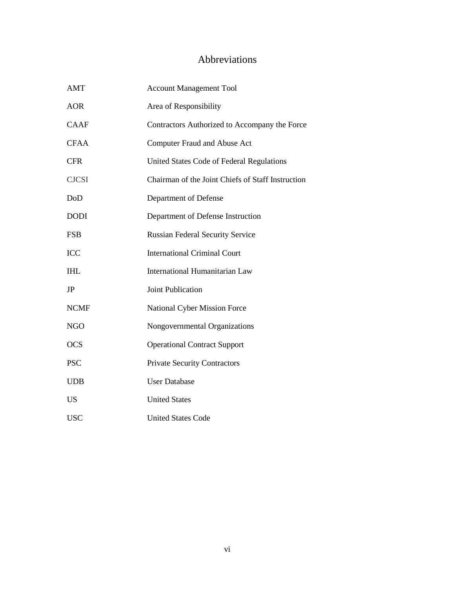## Abbreviations

<span id="page-6-0"></span>

| <b>AMT</b>   | <b>Account Management Tool</b>                    |
|--------------|---------------------------------------------------|
| AOR          | Area of Responsibility                            |
| <b>CAAF</b>  | Contractors Authorized to Accompany the Force     |
| <b>CFAA</b>  | Computer Fraud and Abuse Act                      |
| <b>CFR</b>   | United States Code of Federal Regulations         |
| <b>CJCSI</b> | Chairman of the Joint Chiefs of Staff Instruction |
| DoD          | Department of Defense                             |
| <b>DODI</b>  | Department of Defense Instruction                 |
| <b>FSB</b>   | <b>Russian Federal Security Service</b>           |
| <b>ICC</b>   | <b>International Criminal Court</b>               |
| <b>IHL</b>   | <b>International Humanitarian Law</b>             |
| JP           | <b>Joint Publication</b>                          |
| <b>NCMF</b>  | <b>National Cyber Mission Force</b>               |
| <b>NGO</b>   | Nongovernmental Organizations                     |
| <b>OCS</b>   | <b>Operational Contract Support</b>               |
| <b>PSC</b>   | <b>Private Security Contractors</b>               |
| <b>UDB</b>   | <b>User Database</b>                              |
| <b>US</b>    | <b>United States</b>                              |
| <b>USC</b>   | <b>United States Code</b>                         |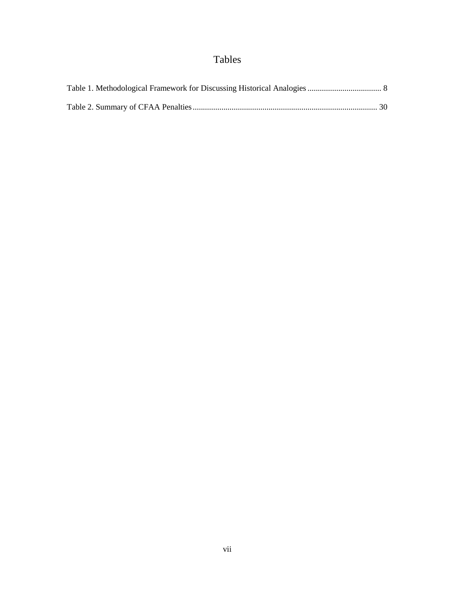# Tables

<span id="page-7-0"></span>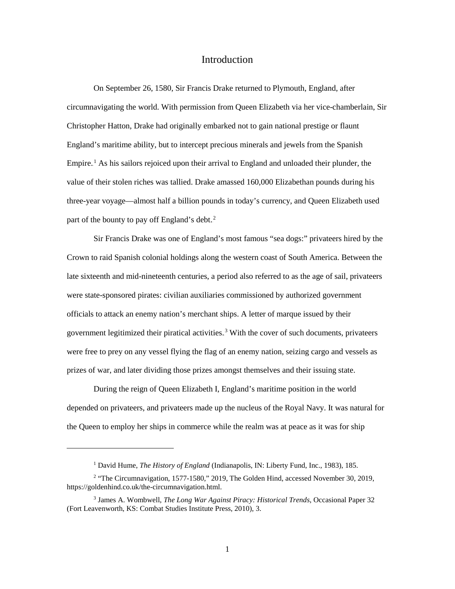## Introduction

<span id="page-8-0"></span>On September 26, 1580, Sir Francis Drake returned to Plymouth, England, after circumnavigating the world. With permission from Queen Elizabeth via her vice-chamberlain, Sir Christopher Hatton, Drake had originally embarked not to gain national prestige or flaunt England's maritime ability, but to intercept precious minerals and jewels from the Spanish Empire.<sup>1</sup> As his sailors rejoiced upon their arrival to England and unloaded their plunder, the value of their stolen riches was tallied. Drake amassed 160,000 Elizabethan pounds during his three-year voyage—almost half a billion pounds in today's currency, and Queen Elizabeth used part of the bounty to pay off England's debt.<sup>2</sup>

Sir Francis Drake was one of England's most famous "sea dogs:" privateers hired by the Crown to raid Spanish colonial holdings along the western coast of South America. Between the late sixteenth and mid-nineteenth centuries, a period also referred to as the age of sail, privateers were state-sponsored pirates: civilian auxiliaries commissioned by authorized government officials to attack an enemy nation's merchant ships. A letter of marque issued by their government legitimized their piratical activities.<sup>3</sup> With the cover of such documents, privateers were free to prey on any vessel flying the flag of an enemy nation, seizing cargo and vessels as prizes of war, and later dividing those prizes amongst themselves and their issuing state.

During the reign of Queen Elizabeth I, England's maritime position in the world depended on privateers, and privateers made up the nucleus of the Royal Navy. It was natural for the Queen to employ her ships in commerce while the realm was at peace as it was for ship

<sup>1</sup> David Hume, *The History of England* (Indianapolis, IN: Liberty Fund, Inc., 1983), 185.

<sup>&</sup>lt;sup>2</sup> "The Circumnavigation, 1577-1580," 2019, The Golden Hind, accessed November 30, 2019, https://goldenhind.co.uk/the-circumnavigation.html.

<sup>3</sup> James A. Wombwell, *The Long War Against Piracy: Historical Trends*, Occasional Paper 32 (Fort Leavenworth, KS: Combat Studies Institute Press, 2010), 3.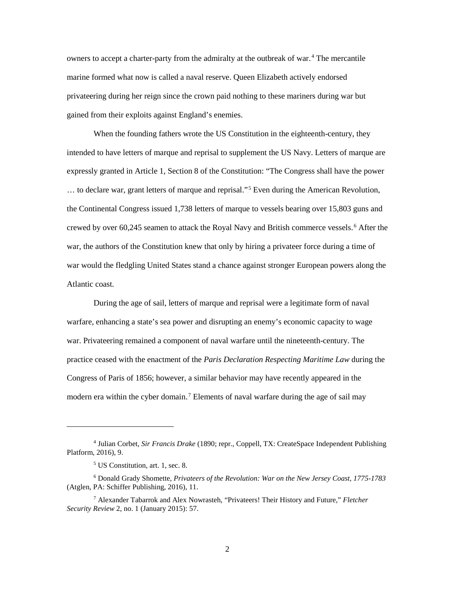owners to accept a charter-party from the admiralty at the outbreak of war.<sup>4</sup> The mercantile marine formed what now is called a naval reserve. Queen Elizabeth actively endorsed privateering during her reign since the crown paid nothing to these mariners during war but gained from their exploits against England's enemies.

When the founding fathers wrote the US Constitution in the eighteenth-century, they intended to have letters of marque and reprisal to supplement the US Navy. Letters of marque are expressly granted in Article 1, Section 8 of the Constitution: "The Congress shall have the power ... to declare war, grant letters of marque and reprisal."<sup>5</sup> Even during the American Revolution, the Continental Congress issued 1,738 letters of marque to vessels bearing over 15,803 guns and crewed by over 60,245 seamen to attack the Royal Navy and British commerce vessels.<sup>6</sup> After the war, the authors of the Constitution knew that only by hiring a privateer force during a time of war would the fledgling United States stand a chance against stronger European powers along the Atlantic coast.

During the age of sail, letters of marque and reprisal were a legitimate form of naval warfare, enhancing a state's sea power and disrupting an enemy's economic capacity to wage war. Privateering remained a component of naval warfare until the nineteenth-century. The practice ceased with the enactment of the *Paris Declaration Respecting Maritime Law* during the Congress of Paris of 1856; however, a similar behavior may have recently appeared in the modern era within the cyber domain.<sup>7</sup> Elements of naval warfare during the age of sail may

<sup>4</sup> Julian Corbet, *Sir Francis Drake* (1890; repr., Coppell, TX: CreateSpace Independent Publishing Platform, 2016), 9.

<sup>5</sup> US Constitution, art. 1, sec. 8.

<sup>6</sup> Donald Grady Shomette, *Privateers of the Revolution: War on the New Jersey Coast, 1775-1783* (Atglen, PA: Schiffer Publishing, 2016), 11.

<sup>7</sup> Alexander Tabarrok and Alex Nowrasteh, "Privateers! Their History and Future," *Fletcher Security Review* 2, no. 1 (January 2015): 57.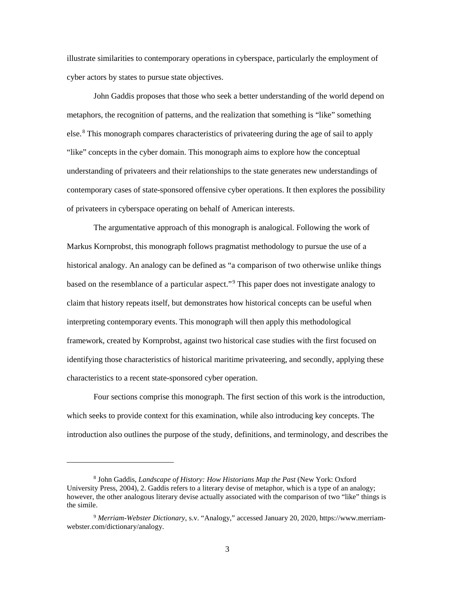illustrate similarities to contemporary operations in cyberspace, particularly the employment of cyber actors by states to pursue state objectives.

John Gaddis proposes that those who seek a better understanding of the world depend on metaphors, the recognition of patterns, and the realization that something is "like" something else.<sup>8</sup> This monograph compares characteristics of privateering during the age of sail to apply "like" concepts in the cyber domain. This monograph aims to explore how the conceptual understanding of privateers and their relationships to the state generates new understandings of contemporary cases of state-sponsored offensive cyber operations. It then explores the possibility of privateers in cyberspace operating on behalf of American interests.

The argumentative approach of this monograph is analogical. Following the work of Markus Kornprobst, this monograph follows pragmatist methodology to pursue the use of a historical analogy. An analogy can be defined as "a comparison of two otherwise unlike things based on the resemblance of a particular aspect."<sup>9</sup> This paper does not investigate analogy to claim that history repeats itself, but demonstrates how historical concepts can be useful when interpreting contemporary events. This monograph will then apply this methodological framework, created by Kornprobst, against two historical case studies with the first focused on identifying those characteristics of historical maritime privateering, and secondly, applying these characteristics to a recent state-sponsored cyber operation.

Four sections comprise this monograph. The first section of this work is the introduction, which seeks to provide context for this examination, while also introducing key concepts. The introduction also outlines the purpose of the study, definitions, and terminology, and describes the

<sup>8</sup> John Gaddis, *Landscape of History: How Historians Map the Past* (New York: Oxford University Press, 2004), 2. Gaddis refers to a literary devise of metaphor, which is a type of an analogy; however, the other analogous literary devise actually associated with the comparison of two "like" things is the simile.

<sup>9</sup> *Merriam-Webster Dictionary*, s.v. "Analogy," accessed January 20, 2020, https://www.merriamwebster.com/dictionary/analogy.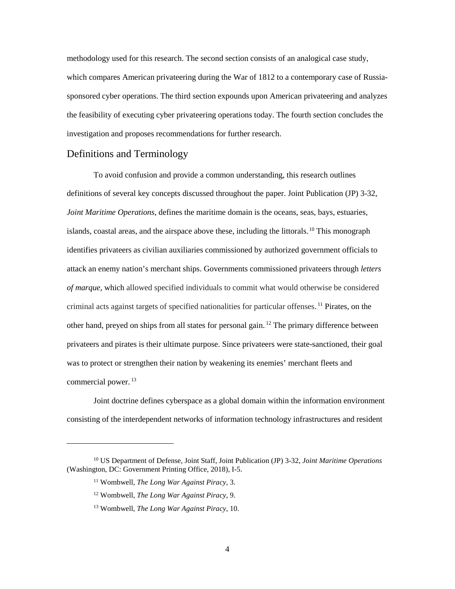methodology used for this research. The second section consists of an analogical case study, which compares American privateering during the War of 1812 to a contemporary case of Russiasponsored cyber operations. The third section expounds upon American privateering and analyzes the feasibility of executing cyber privateering operations today. The fourth section concludes the investigation and proposes recommendations for further research.

#### <span id="page-11-0"></span>Definitions and Terminology

To avoid confusion and provide a common understanding, this research outlines definitions of several key concepts discussed throughout the paper. Joint Publication (JP) 3-32, *Joint Maritime Operations*, defines the maritime domain is the oceans, seas, bays, estuaries, islands, coastal areas, and the airspace above these, including the littorals.<sup>10</sup> This monograph identifies privateers as civilian auxiliaries commissioned by authorized government officials to attack an enemy nation's merchant ships. Governments commissioned privateers through *letters of marque*, which allowed specified individuals to commit what would otherwise be considered criminal acts against targets of specified nationalities for particular offenses.<sup>11</sup> Pirates, on the other hand, preyed on ships from all states for personal gain.<sup>12</sup> The primary difference between privateers and pirates is their ultimate purpose. Since privateers were state-sanctioned, their goal was to protect or strengthen their nation by weakening its enemies' merchant fleets and commercial power.<sup>13</sup>

Joint doctrine defines cyberspace as a global domain within the information environment consisting of the interdependent networks of information technology infrastructures and resident

<sup>10</sup> US Department of Defense, Joint Staff, Joint Publication (JP) 3-32, *Joint Maritime Operations*  (Washington, DC: Government Printing Office, 2018), I-5.

<sup>11</sup> Wombwell, *The Long War Against Piracy*, 3.

<sup>12</sup> Wombwell, *The Long War Against Piracy*, 9.

<sup>13</sup> Wombwell, *The Long War Against Piracy*, 10.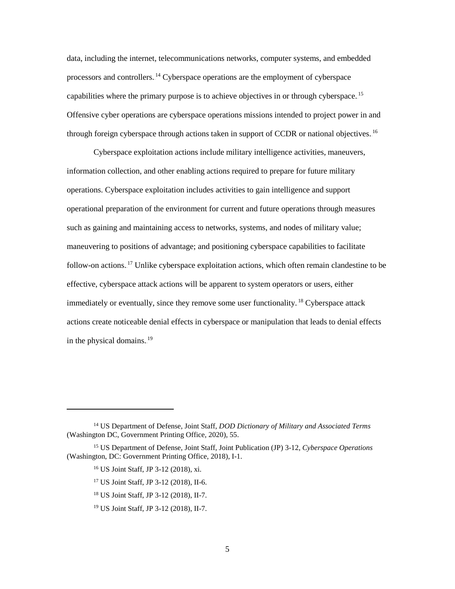data, including the internet, telecommunications networks, computer systems, and embedded processors and controllers.<sup>14</sup> Cyberspace operations are the employment of cyberspace capabilities where the primary purpose is to achieve objectives in or through cyberspace.<sup>15</sup> Offensive cyber operations are cyberspace operations missions intended to project power in and through foreign cyberspace through actions taken in support of CCDR or national objectives.<sup>16</sup>

Cyberspace exploitation actions include military intelligence activities, maneuvers, information collection, and other enabling actions required to prepare for future military operations. Cyberspace exploitation includes activities to gain intelligence and support operational preparation of the environment for current and future operations through measures such as gaining and maintaining access to networks, systems, and nodes of military value; maneuvering to positions of advantage; and positioning cyberspace capabilities to facilitate follow-on actions.<sup>17</sup> Unlike cyberspace exploitation actions, which often remain clandestine to be effective, cyberspace attack actions will be apparent to system operators or users, either immediately or eventually, since they remove some user functionality.<sup>18</sup> Cyberspace attack actions create noticeable denial effects in cyberspace or manipulation that leads to denial effects in the physical domains. $19$ 

- <sup>18</sup> US Joint Staff, JP 3-12 (2018), II-7.
- <sup>19</sup> US Joint Staff, JP 3-12 (2018), II-7.

<sup>14</sup> US Department of Defense, Joint Staff, *DOD Dictionary of Military and Associated Terms* (Washington DC, Government Printing Office, 2020), 55.

<sup>15</sup> US Department of Defense, Joint Staff, Joint Publication (JP) 3-12, *Cyberspace Operations* (Washington, DC: Government Printing Office, 2018), I-1.

<sup>16</sup> US Joint Staff, JP 3-12 (2018), xi.

<sup>17</sup> US Joint Staff, JP 3-12 (2018), II-6.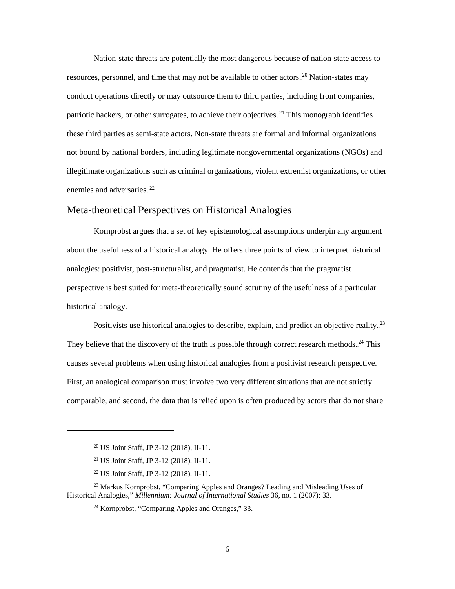Nation-state threats are potentially the most dangerous because of nation-state access to resources, personnel, and time that may not be available to other actors.<sup>20</sup> Nation-states may conduct operations directly or may outsource them to third parties, including front companies, patriotic hackers, or other surrogates, to achieve their objectives.<sup>21</sup> This monograph identifies these third parties as semi-state actors. Non-state threats are formal and informal organizations not bound by national borders, including legitimate nongovernmental organizations (NGOs) and illegitimate organizations such as criminal organizations, violent extremist organizations, or other enemies and adversaries.<sup>22</sup>

#### <span id="page-13-0"></span>Meta-theoretical Perspectives on Historical Analogies

Kornprobst argues that a set of key epistemological assumptions underpin any argument about the usefulness of a historical analogy. He offers three points of view to interpret historical analogies: positivist, post-structuralist, and pragmatist. He contends that the pragmatist perspective is best suited for meta-theoretically sound scrutiny of the usefulness of a particular historical analogy.

Positivists use historical analogies to describe, explain, and predict an objective reality.<sup>23</sup> They believe that the discovery of the truth is possible through correct research methods.<sup>24</sup> This causes several problems when using historical analogies from a positivist research perspective. First, an analogical comparison must involve two very different situations that are not strictly comparable, and second, the data that is relied upon is often produced by actors that do not share

<sup>20</sup> US Joint Staff, JP 3-12 (2018), II-11.

<sup>21</sup> US Joint Staff, JP 3-12 (2018), II-11.

<sup>22</sup> US Joint Staff, JP 3-12 (2018), II-11.

<sup>23</sup> Markus Kornprobst, "Comparing Apples and Oranges? Leading and Misleading Uses of Historical Analogies," *Millennium: Journal of International Studies* 36, no. 1 (2007): 33.

<sup>24</sup> Kornprobst, "Comparing Apples and Oranges," 33.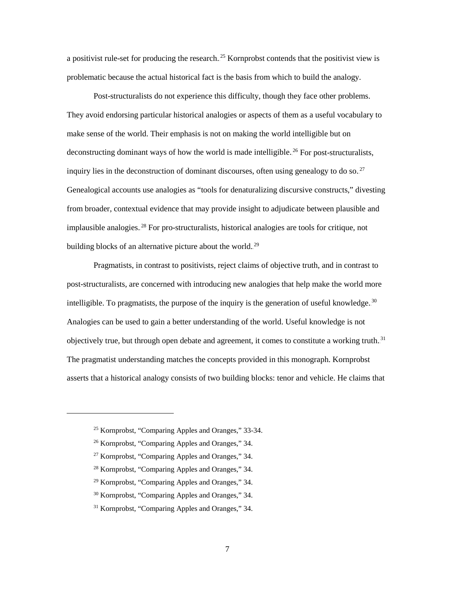a positivist rule-set for producing the research.<sup>25</sup> Kornprobst contends that the positivist view is problematic because the actual historical fact is the basis from which to build the analogy.

Post-structuralists do not experience this difficulty, though they face other problems. They avoid endorsing particular historical analogies or aspects of them as a useful vocabulary to make sense of the world. Their emphasis is not on making the world intelligible but on deconstructing dominant ways of how the world is made intelligible.<sup>26</sup> For post-structuralists, inquiry lies in the deconstruction of dominant discourses, often using genealogy to do so.<sup>27</sup> Genealogical accounts use analogies as "tools for denaturalizing discursive constructs," divesting from broader, contextual evidence that may provide insight to adjudicate between plausible and implausible analogies.<sup>28</sup> For pro-structuralists, historical analogies are tools for critique, not building blocks of an alternative picture about the world.<sup>29</sup>

Pragmatists, in contrast to positivists, reject claims of objective truth, and in contrast to post-structuralists, are concerned with introducing new analogies that help make the world more intelligible. To pragmatists, the purpose of the inquiry is the generation of useful knowledge.<sup>30</sup> Analogies can be used to gain a better understanding of the world. Useful knowledge is not objectively true, but through open debate and agreement, it comes to constitute a working truth.<sup>31</sup> The pragmatist understanding matches the concepts provided in this monograph. Kornprobst asserts that a historical analogy consists of two building blocks: tenor and vehicle. He claims that

<sup>25</sup> Kornprobst, "Comparing Apples and Oranges," 33-34.

<sup>26</sup> Kornprobst, "Comparing Apples and Oranges," 34.

<sup>27</sup> Kornprobst, "Comparing Apples and Oranges," 34.

<sup>28</sup> Kornprobst, "Comparing Apples and Oranges," 34.

<sup>29</sup> Kornprobst, "Comparing Apples and Oranges," 34.

<sup>30</sup> Kornprobst, "Comparing Apples and Oranges," 34.

<sup>31</sup> Kornprobst, "Comparing Apples and Oranges," 34.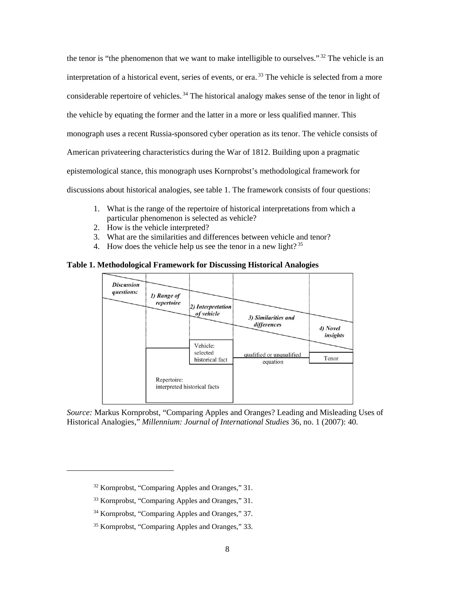the tenor is "the phenomenon that we want to make intelligible to ourselves."<sup>32</sup> The vehicle is an interpretation of a historical event, series of events, or era.<sup>33</sup> The vehicle is selected from a more considerable repertoire of vehicles.<sup>34</sup> The historical analogy makes sense of the tenor in light of the vehicle by equating the former and the latter in a more or less qualified manner. This monograph uses a recent Russia-sponsored cyber operation as its tenor. The vehicle consists of American privateering characteristics during the War of 1812. Building upon a pragmatic epistemological stance, this monograph uses Kornprobst's methodological framework for discussions about historical analogies, see [table 1.](#page-15-0) The framework consists of four questions:

- 1. What is the range of the repertoire of historical interpretations from which a particular phenomenon is selected as vehicle?
- 2. How is the vehicle interpreted?
- 3. What are the similarities and differences between vehicle and tenor?
- 4. How does the vehicle help us see the tenor in a new light?<sup>35</sup>

<span id="page-15-0"></span>



*Source:* Markus Kornprobst, "Comparing Apples and Oranges? Leading and Misleading Uses of Historical Analogies," *Millennium: Journal of International Studies* 36, no. 1 (2007): 40.

<sup>32</sup> Kornprobst, "Comparing Apples and Oranges," 31.

<sup>33</sup> Kornprobst, "Comparing Apples and Oranges," 31.

<sup>34</sup> Kornprobst, "Comparing Apples and Oranges," 37.

<sup>35</sup> Kornprobst, "Comparing Apples and Oranges," 33.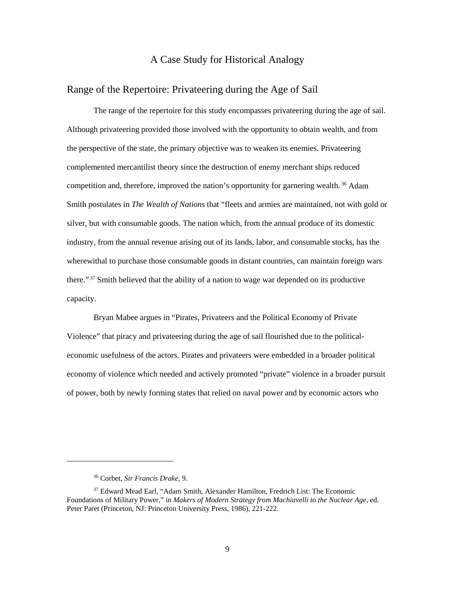### A Case Study for Historical Analogy

### <span id="page-16-1"></span><span id="page-16-0"></span>Range of the Repertoire: Privateering during the Age of Sail

The range of the repertoire for this study encompasses privateering during the age of sail. Although privateering provided those involved with the opportunity to obtain wealth, and from the perspective of the state, the primary objective was to weaken its enemies. Privateering complemented mercantilist theory since the destruction of enemy merchant ships reduced competition and, therefore, improved the nation's opportunity for garnering wealth.<sup>36</sup> Adam Smith postulates in *The Wealth of Nations* that "fleets and armies are maintained, not with gold or silver, but with consumable goods. The nation which, from the annual produce of its domestic industry, from the annual revenue arising out of its lands, labor, and consumable stocks, has the wherewithal to purchase those consumable goods in distant countries, can maintain foreign wars there."<sup>37</sup> Smith believed that the ability of a nation to wage war depended on its productive capacity.

Bryan Mabee argues in "Pirates, Privateers and the Political Economy of Private Violence" that piracy and privateering during the age of sail flourished due to the politicaleconomic usefulness of the actors. Pirates and privateers were embedded in a broader political economy of violence which needed and actively promoted "private" violence in a broader pursuit of power, both by newly forming states that relied on naval power and by economic actors who

<sup>36</sup> Corbet, *Sir Francis Drake*, 9.

<sup>&</sup>lt;sup>37</sup> Edward Mead Earl, "Adam Smith, Alexander Hamilton, Fredrich List: The Economic Foundations of Military Power," in *Makers of Modern Strategy from Machiavelli to the Nuclear Age*, ed. Peter Paret (Princeton, NJ: Princeton University Press, 1986), 221-222.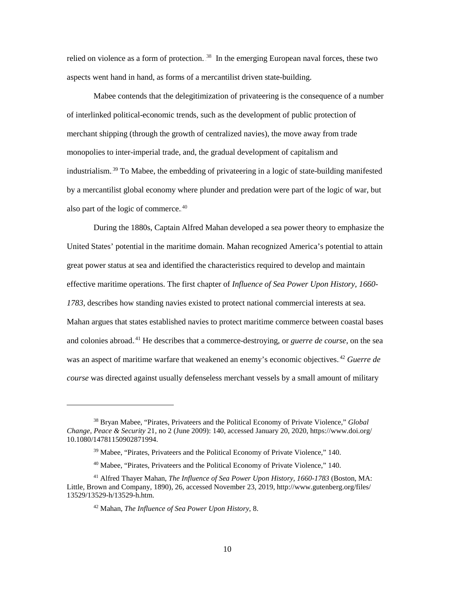relied on violence as a form of protection.  $38$  In the emerging European naval forces, these two aspects went hand in hand, as forms of a mercantilist driven state-building.

Mabee contends that the delegitimization of privateering is the consequence of a number of interlinked political-economic trends, such as the development of public protection of merchant shipping (through the growth of centralized navies), the move away from trade monopolies to inter-imperial trade, and, the gradual development of capitalism and industrialism.<sup>39</sup> To Mabee, the embedding of privateering in a logic of state-building manifested by a mercantilist global economy where plunder and predation were part of the logic of war, but also part of the logic of commerce. $40$ 

During the 1880s, Captain Alfred Mahan developed a sea power theory to emphasize the United States' potential in the maritime domain. Mahan recognized America's potential to attain great power status at sea and identified the characteristics required to develop and maintain effective maritime operations. The first chapter of *Influence of Sea Power Upon History, 1660- 1783*, describes how standing navies existed to protect national commercial interests at sea. Mahan argues that states established navies to protect maritime commerce between coastal bases and colonies abroad.<sup>41</sup> He describes that a commerce-destroying, or *guerre de course*, on the sea was an aspect of maritime warfare that weakened an enemy's economic objectives.<sup>42</sup> Guerre de *course* was directed against usually defenseless merchant vessels by a small amount of military

<sup>38</sup> Bryan Mabee, "Pirates, Privateers and the Political Economy of Private Violence," *Global Change, Peace & Security* 21, no 2 (June 2009): 140, accessed January 20, 2020, https://www.doi.org/ 10.1080/14781150902871994.

<sup>&</sup>lt;sup>39</sup> Mabee, "Pirates, Privateers and the Political Economy of Private Violence," 140.

<sup>40</sup> Mabee, "Pirates, Privateers and the Political Economy of Private Violence," 140.

<sup>41</sup> Alfred Thayer Mahan, *The Influence of Sea Power Upon History, 1660-1783* (Boston, MA: Little, Brown and Company, 1890), 26, accessed November 23, 2019, http://www.gutenberg.org/files/ 13529/13529-h/13529-h.htm.

<sup>42</sup> Mahan, *The Influence of Sea Power Upon History*, 8.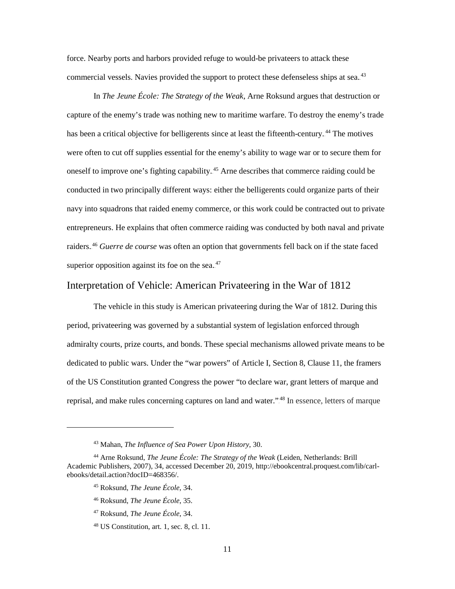force. Nearby ports and harbors provided refuge to would-be privateers to attack these commercial vessels. Navies provided the support to protect these defenseless ships at sea..<sup>43</sup>

In *The Jeune École: The Strategy of the Weak*, Arne Roksund argues that destruction or capture of the enemy's trade was nothing new to maritime warfare. To destroy the enemy's trade has been a critical objective for belligerents since at least the fifteenth-century.<sup>44</sup> The motives were often to cut off supplies essential for the enemy's ability to wage war or to secure them for oneself to improve one's fighting capability.<sup>45</sup> Arne describes that commerce raiding could be conducted in two principally different ways: either the belligerents could organize parts of their navy into squadrons that raided enemy commerce, or this work could be contracted out to private entrepreneurs. He explains that often commerce raiding was conducted by both naval and private raiders.<sup>46</sup> Guerre de course was often an option that governments fell back on if the state faced superior opposition against its foe on the sea. $47$ 

## <span id="page-18-0"></span>Interpretation of Vehicle: American Privateering in the War of 1812

The vehicle in this study is American privateering during the War of 1812. During this period, privateering was governed by a substantial system of legislation enforced through admiralty courts, prize courts, and bonds. These special mechanisms allowed private means to be dedicated to public wars. Under the "war powers" of Article I, Section 8, Clause 11, the framers of the US Constitution granted Congress the power "to declare war, grant letters of marque and reprisal, and make rules concerning captures on land and water."<sup>48</sup> In essence, letters of marque

<sup>45</sup> Roksund, *The Jeune École*, 34.

<sup>43</sup> Mahan, *The Influence of Sea Power Upon History*, 30.

<sup>44</sup> Arne Roksund, *The Jeune École: The Strategy of the Weak* (Leiden, Netherlands: Brill Academic Publishers, 2007), 34, accessed December 20, 2019, http://ebookcentral.proquest.com/lib/carlebooks/detail.action?docID=468356/.

<sup>46</sup> Roksund, *The Jeune École*, 35.

<sup>47</sup> Roksund, *The Jeune École*, 34.

<sup>48</sup> US Constitution, art. 1, sec. 8, cl. 11.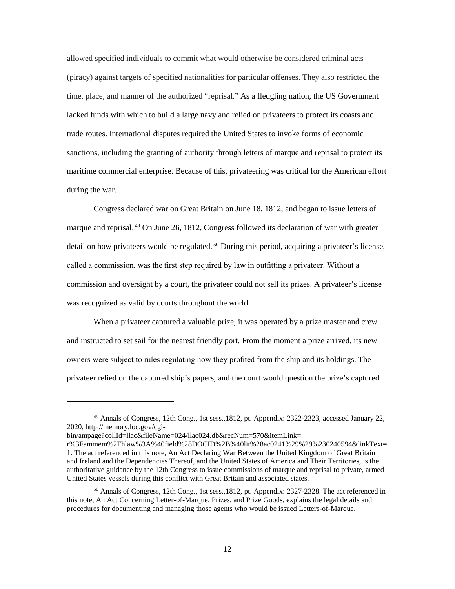allowed specified individuals to commit what would otherwise be considered criminal acts (piracy) against targets of specified nationalities for particular offenses. They also restricted the time, place, and manner of the authorized "reprisal." As a fledgling nation, the US Government lacked funds with which to build a large navy and relied on privateers to protect its coasts and trade routes. International disputes required the United States to invoke forms of economic sanctions, including the granting of authority through letters of marque and reprisal to protect its maritime commercial enterprise. Because of this, privateering was critical for the American effort during the war.

Congress declared war on Great Britain on June 18, 1812, and began to issue letters of marque and reprisal.<sup>49</sup> On June 26, 1812, Congress followed its declaration of war with greater detail on how privateers would be regulated.<sup>50</sup> During this period, acquiring a privateer's license, called a commission, was the first step required by law in outfitting a privateer. Without a commission and oversight by a court, the privateer could not sell its prizes. A privateer's license was recognized as valid by courts throughout the world.

When a privateer captured a valuable prize, it was operated by a prize master and crew and instructed to set sail for the nearest friendly port. From the moment a prize arrived, its new owners were subject to rules regulating how they profited from the ship and its holdings. The privateer relied on the captured ship's papers, and the court would question the prize's captured

<sup>49</sup> Annals of Congress, 12th Cong., 1st sess.,1812, pt. Appendix: 2322-2323, accessed January 22, 2020, http://memory.loc.gov/cgi-

bin/ampage?collId=llac&fileName=024/llac024.db&recNum=570&itemLink=

r%3Fammem%2Fhlaw%3A%40field%28DOCID%2B%40lit%28ac0241%29%29%230240594&linkText= 1. The act referenced in this note, An Act Declaring War Between the United Kingdom of Great Britain and Ireland and the Dependencies Thereof, and the United States of America and Their Territories, is the authoritative guidance by the 12th Congress to issue commissions of marque and reprisal to private, armed United States vessels during this conflict with Great Britain and associated states.

<sup>&</sup>lt;sup>50</sup> Annals of Congress, 12th Cong., 1st sess.,1812, pt. Appendix: 2327-2328. The act referenced in this note, An Act Concerning Letter-of-Marque, Prizes, and Prize Goods, explains the legal details and procedures for documenting and managing those agents who would be issued Letters-of-Marque.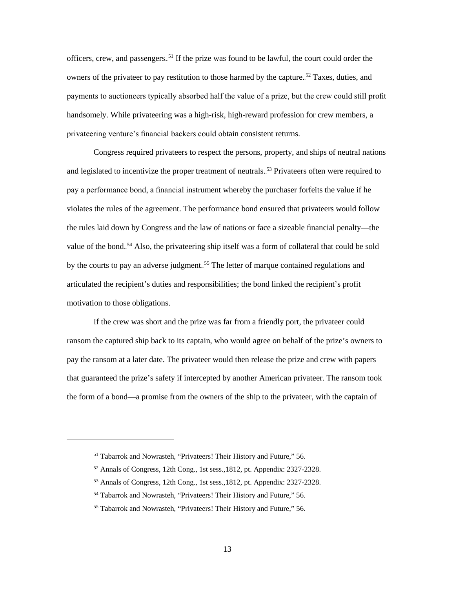officers, crew, and passengers.<sup>51</sup> If the prize was found to be lawful, the court could order the owners of the privateer to pay restitution to those harmed by the capture.<sup>52</sup> Taxes, duties, and payments to auctioneers typically absorbed half the value of a prize, but the crew could still profit handsomely. While privateering was a high-risk, high-reward profession for crew members, a privateering venture's financial backers could obtain consistent returns.

Congress required privateers to respect the persons, property, and ships of neutral nations and legislated to incentivize the proper treatment of neutrals.<sup>53</sup> Privateers often were required to pay a performance bond, a financial instrument whereby the purchaser forfeits the value if he violates the rules of the agreement. The performance bond ensured that privateers would follow the rules laid down by Congress and the law of nations or face a sizeable financial penalty—the value of the bond.<sup>54</sup> Also, the privateering ship itself was a form of collateral that could be sold by the courts to pay an adverse judgment.<sup>55</sup> The letter of marque contained regulations and articulated the recipient's duties and responsibilities; the bond linked the recipient's profit motivation to those obligations.

If the crew was short and the prize was far from a friendly port, the privateer could ransom the captured ship back to its captain, who would agree on behalf of the prize's owners to pay the ransom at a later date. The privateer would then release the prize and crew with papers that guaranteed the prize's safety if intercepted by another American privateer. The ransom took the form of a bond—a promise from the owners of the ship to the privateer, with the captain of

<sup>&</sup>lt;sup>51</sup> Tabarrok and Nowrasteh, "Privateers! Their History and Future," 56.

<sup>52</sup> Annals of Congress, 12th Cong., 1st sess.,1812, pt. Appendix: 2327-2328.

<sup>53</sup> Annals of Congress, 12th Cong., 1st sess.,1812, pt. Appendix: 2327-2328.

<sup>54</sup> Tabarrok and Nowrasteh, "Privateers! Their History and Future," 56.

<sup>55</sup> Tabarrok and Nowrasteh, "Privateers! Their History and Future," 56.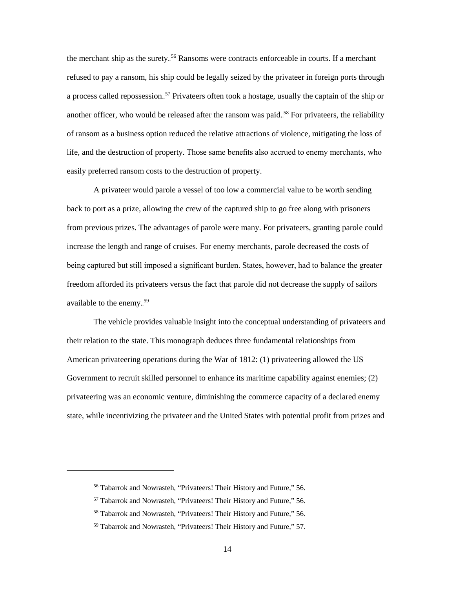the merchant ship as the surety.<sup>56</sup> Ransoms were contracts enforceable in courts. If a merchant refused to pay a ransom, his ship could be legally seized by the privateer in foreign ports through a process called repossession.<sup>57</sup> Privateers often took a hostage, usually the captain of the ship or another officer, who would be released after the ransom was paid.<sup>58</sup> For privateers, the reliability of ransom as a business option reduced the relative attractions of violence, mitigating the loss of life, and the destruction of property. Those same benefits also accrued to enemy merchants, who easily preferred ransom costs to the destruction of property.

A privateer would parole a vessel of too low a commercial value to be worth sending back to port as a prize, allowing the crew of the captured ship to go free along with prisoners from previous prizes. The advantages of parole were many. For privateers, granting parole could increase the length and range of cruises. For enemy merchants, parole decreased the costs of being captured but still imposed a significant burden. States, however, had to balance the greater freedom afforded its privateers versus the fact that parole did not decrease the supply of sailors available to the enemy.<sup>59</sup>

The vehicle provides valuable insight into the conceptual understanding of privateers and their relation to the state. This monograph deduces three fundamental relationships from American privateering operations during the War of 1812: (1) privateering allowed the US Government to recruit skilled personnel to enhance its maritime capability against enemies; (2) privateering was an economic venture, diminishing the commerce capacity of a declared enemy state, while incentivizing the privateer and the United States with potential profit from prizes and

<sup>56</sup> Tabarrok and Nowrasteh, "Privateers! Their History and Future," 56.

<sup>57</sup> Tabarrok and Nowrasteh, "Privateers! Their History and Future," 56.

<sup>58</sup> Tabarrok and Nowrasteh, "Privateers! Their History and Future," 56.

<sup>59</sup> Tabarrok and Nowrasteh, "Privateers! Their History and Future," 57.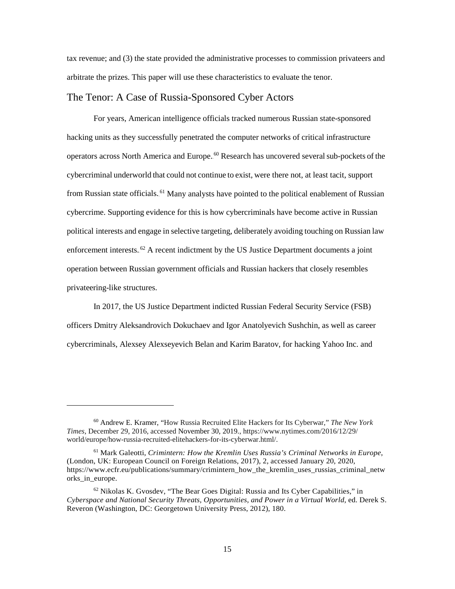tax revenue; and (3) the state provided the administrative processes to commission privateers and arbitrate the prizes. This paper will use these characteristics to evaluate the tenor.

## <span id="page-22-0"></span>The Tenor: A Case of Russia-Sponsored Cyber Actors

For years, American intelligence officials tracked numerous Russian state-sponsored hacking units as they successfully penetrated the computer networks of critical infrastructure operators across North America and Europe.<sup>60</sup> Research has uncovered several sub-pockets of the cybercriminal underworld that could not continue to exist, were there not, at least tacit, support from Russian state officials.<sup>61</sup> Many analysts have pointed to the political enablement of Russian cybercrime. Supporting evidence for this is how cybercriminals have become active in Russian political interests and engage in selective targeting, deliberately avoiding touching on Russian law enforcement interests.<sup>62</sup> A recent indictment by the US Justice Department documents a joint operation between Russian government officials and Russian hackers that closely resembles privateering-like structures.

In 2017, the US Justice Department indicted Russian Federal Security Service (FSB) officers Dmitry Aleksandrovich Dokuchaev and Igor Anatolyevich Sushchin, as well as career cybercriminals, Alexsey Alexseyevich Belan and Karim Baratov, for hacking Yahoo Inc. and

<sup>60</sup> Andrew E. Kramer, "How Russia Recruited Elite Hackers for Its Cyberwar," *The New York Times*, December 29, 2016, accessed November 30, 2019., https://www.nytimes.com/2016/12/29/ world/europe/how-russia-recruited-elitehackers-for-its-cyberwar.html/.

<sup>61</sup> Mark Galeotti, *Crimintern: How the Kremlin Uses Russia's Criminal Networks in Europe*, (London, UK: European Council on Foreign Relations, 2017), 2, accessed January 20, 2020, https://www.ecfr.eu/publications/summary/crimintern\_how\_the\_kremlin\_uses\_russias\_criminal\_netw orks\_in\_europe.

 $62$  Nikolas K. Gvosdev, "The Bear Goes Digital: Russia and Its Cyber Capabilities," in *Cyberspace and National Security Threats, Opportunities, and Power in a Virtual World*, ed. Derek S. Reveron (Washington, DC: Georgetown University Press, 2012), 180.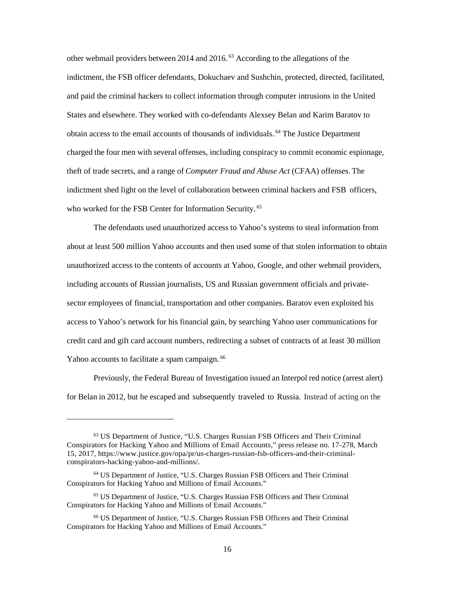other webmail providers between  $2014$  and  $2016$ .<sup>63</sup> According to the allegations of the indictment, the FSB officer defendants, Dokuchaev and Sushchin, protected, directed, facilitated, and paid the criminal hackers to collect information through computer intrusions in the United States and elsewhere. They worked with co-defendants Alexsey Belan and Karim Baratov to obtain access to the email accounts of thousands of individuals.<sup>64</sup> The Justice Department charged the four men with several offenses, including conspiracy to commit economic espionage, theft of trade secrets, and a range of *Computer Fraud and Abuse Act* (CFAA) offenses. The indictment shed light on the level of collaboration between criminal hackers and FSB officers, who worked for the FSB Center for Information Security.<sup>65</sup>

The defendants used unauthorized access to Yahoo's systems to steal information from about at least 500 million Yahoo accounts and then used some of that stolen information to obtain unauthorized access to the contents of accounts at Yahoo, Google, and other webmail providers, including accounts of Russian journalists, US and Russian government officials and privatesector employees of financial, transportation and other companies. Baratov even exploited his access to Yahoo's network for his financial gain, by searching Yahoo user communications for credit card and gift card account numbers, redirecting a subset of contracts of at least 30 million Yahoo accounts to facilitate a spam campaign.<sup>66</sup>

Previously, the Federal Bureau of Investigation issued an Interpol red notice (arrest alert) for Belan in 2012, but he escaped and subsequently traveled to Russia. Instead of acting on the

<sup>63</sup> US Department of Justice, "U.S. Charges Russian FSB Officers and Their Criminal Conspirators for Hacking Yahoo and Millions of Email Accounts," press release no. 17-278, March 15, 2017, https://www.justice.gov/opa/pr/us-charges-russian-fsb-officers-and-their-criminalconspirators-hacking-yahoo-and-millions/.

<sup>64</sup> US Department of Justice, "U.S. Charges Russian FSB Officers and Their Criminal Conspirators for Hacking Yahoo and Millions of Email Accounts."

<sup>65</sup> US Department of Justice, "U.S. Charges Russian FSB Officers and Their Criminal Conspirators for Hacking Yahoo and Millions of Email Accounts."

<sup>66</sup> US Department of Justice, "U.S. Charges Russian FSB Officers and Their Criminal Conspirators for Hacking Yahoo and Millions of Email Accounts."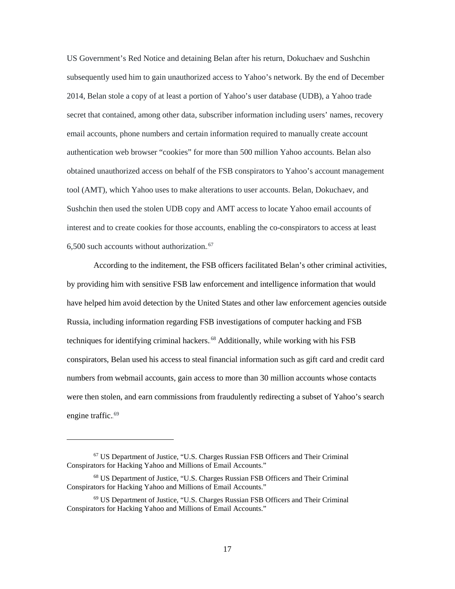US Government's Red Notice and detaining Belan after his return, Dokuchaev and Sushchin subsequently used him to gain unauthorized access to Yahoo's network. By the end of December 2014, Belan stole a copy of at least a portion of Yahoo's user database (UDB), a Yahoo trade secret that contained, among other data, subscriber information including users' names, recovery email accounts, phone numbers and certain information required to manually create account authentication web browser "cookies" for more than 500 million Yahoo accounts. Belan also obtained unauthorized access on behalf of the FSB conspirators to Yahoo's account management tool (AMT), which Yahoo uses to make alterations to user accounts. Belan, Dokuchaev, and Sushchin then used the stolen UDB copy and AMT access to locate Yahoo email accounts of interest and to create cookies for those accounts, enabling the co-conspirators to access at least  $6,500$  such accounts without authorization.<sup>67</sup>

According to the inditement, the FSB officers facilitated Belan's other criminal activities, by providing him with sensitive FSB law enforcement and intelligence information that would have helped him avoid detection by the United States and other law enforcement agencies outside Russia, including information regarding FSB investigations of computer hacking and FSB techniques for identifying criminal hackers.<sup>68</sup> Additionally, while working with his FSB conspirators, Belan used his access to steal financial information such as gift card and credit card numbers from webmail accounts, gain access to more than 30 million accounts whose contacts were then stolen, and earn commissions from fraudulently redirecting a subset of Yahoo's search engine traffic.<sup>69</sup>

<sup>67</sup> US Department of Justice, "U.S. Charges Russian FSB Officers and Their Criminal Conspirators for Hacking Yahoo and Millions of Email Accounts."

<sup>68</sup> US Department of Justice, "U.S. Charges Russian FSB Officers and Their Criminal Conspirators for Hacking Yahoo and Millions of Email Accounts."

<sup>69</sup> US Department of Justice, "U.S. Charges Russian FSB Officers and Their Criminal Conspirators for Hacking Yahoo and Millions of Email Accounts."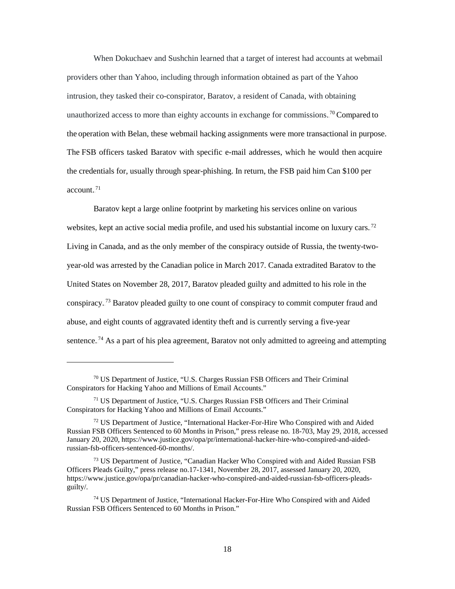When Dokuchaev and Sushchin learned that a target of interest had accounts at webmail providers other than Yahoo, including through information obtained as part of the Yahoo intrusion, they tasked their co-conspirator, Baratov, a resident of Canada, with obtaining unauthorized access to more than eighty accounts in exchange for commissions.<sup>70</sup> Compared to the operation with Belan, these webmail hacking assignments were more transactional in purpose. The FSB officers tasked Baratov with specific e-mail addresses, which he would then acquire the credentials for, usually through spear-phishing. In return, the FSB paid him Can \$100 per account. $^{71}$ 

Baratov kept a large online footprint by marketing his services online on various websites, kept an active social media profile, and used his substantial income on luxury cars.<sup>72</sup> Living in Canada, and as the only member of the conspiracy outside of Russia, the twenty-twoyear-old was arrested by the Canadian police in March 2017. Canada extradited Baratov to the United States on November 28, 2017, Baratov pleaded guilty and admitted to his role in the conspiracy.<sup>73</sup> Baratov pleaded guilty to one count of conspiracy to commit computer fraud and abuse, and eight counts of aggravated identity theft and is currently serving a five-year sentence.<sup>74</sup> As a part of his plea agreement, Baratov not only admitted to agreeing and attempting

<sup>70</sup> US Department of Justice, "U.S. Charges Russian FSB Officers and Their Criminal Conspirators for Hacking Yahoo and Millions of Email Accounts."

<sup>71</sup> US Department of Justice, "U.S. Charges Russian FSB Officers and Their Criminal Conspirators for Hacking Yahoo and Millions of Email Accounts."

 $72 \text{ US Department of Justice, "International Hacker-For-Hire Who Conspired with and Aided" }$ Russian FSB Officers Sentenced to 60 Months in Prison," press release no. 18-703, May 29, 2018, accessed January 20, 2020, https://www.justice.gov/opa/pr/international-hacker-hire-who-conspired-and-aidedrussian-fsb-officers-sentenced-60-months/.

<sup>&</sup>lt;sup>73</sup> US Department of Justice, "Canadian Hacker Who Conspired with and Aided Russian FSB Officers Pleads Guilty," press release no.17-1341, November 28, 2017, assessed January 20, 2020, https://www.justice.gov/opa/pr/canadian-hacker-who-conspired-and-aided-russian-fsb-officers-pleadsguilty/.

<sup>74</sup> US Department of Justice, "International Hacker-For-Hire Who Conspired with and Aided Russian FSB Officers Sentenced to 60 Months in Prison."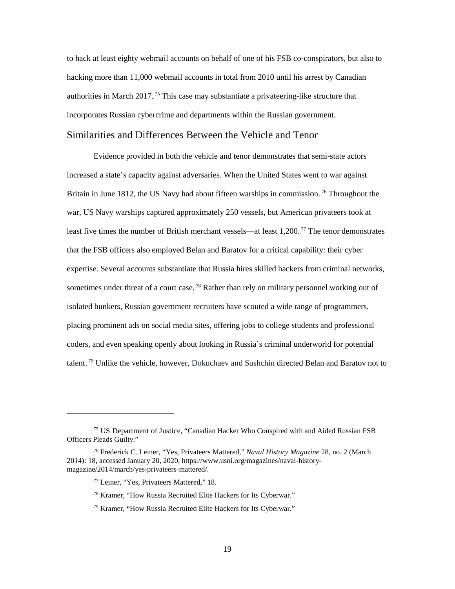to hack at least eighty webmail accounts on behalf of one of his FSB co-conspirators, but also to hacking more than 11,000 webmail accounts in total from 2010 until his arrest by Canadian authorities in March 2017.<sup>75</sup> This case may substantiate a privateering-like structure that incorporates Russian cybercrime and departments within the Russian government.

## <span id="page-26-0"></span>Similarities and Differences Between the Vehicle and Tenor

Evidence provided in both the vehicle and tenor demonstrates that semi-state actors increased a state's capacity against adversaries. When the United States went to war against Britain in June 1812, the US Navy had about fifteen warships in commission.<sup>76</sup> Throughout the war, US Navy warships captured approximately 250 vessels, but American privateers took at least five times the number of British merchant vessels—at least 1,200.<sup>77</sup> The tenor demonstrates that the FSB officers also employed Belan and Baratov for a critical capability: their cyber expertise. Several accounts substantiate that Russia hires skilled hackers from criminal networks, sometimes under threat of a court case.<sup>78</sup> Rather than rely on military personnel working out of isolated bunkers, Russian government recruiters have scouted a wide range of programmers, placing prominent ads on social media sites, offering jobs to college students and professional coders, and even speaking openly about looking in Russia's criminal underworld for potential talent.<sup>79</sup> Unlike the vehicle, however, Dokuchaev and Sushchin directed Belan and Baratov not to

<sup>75</sup> US Department of Justice, "Canadian Hacker Who Conspired with and Aided Russian FSB Officers Pleads Guilty."

<sup>76</sup> Frederick C. Leiner, "Yes, Privateers Mattered," *Naval History Magazine* 28, no. 2 (March 2014): 18, accessed January 20, 2020, https://www.usni.org/magazines/naval-historymagazine/2014/march/yes-privateers-mattered/.

<sup>77</sup> Leiner, "Yes, Privateers Mattered," 18.

<sup>78</sup> Kramer, "How Russia Recruited Elite Hackers for Its Cyberwar."

<sup>79</sup> Kramer, "How Russia Recruited Elite Hackers for Its Cyberwar."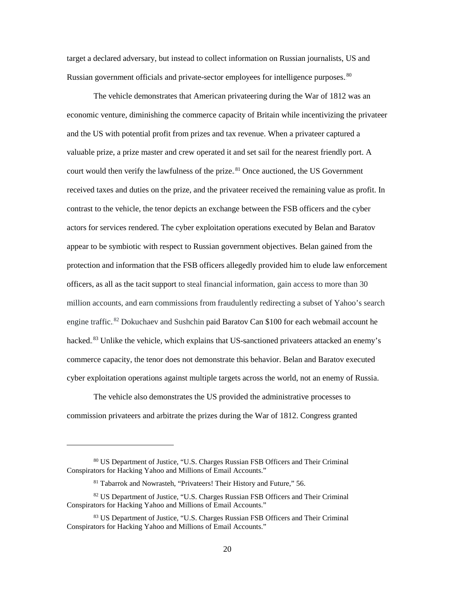target a declared adversary, but instead to collect information on Russian journalists, US and Russian government officials and private-sector employees for intelligence purposes. 80

The vehicle demonstrates that American privateering during the War of 1812 was an economic venture, diminishing the commerce capacity of Britain while incentivizing the privateer and the US with potential profit from prizes and tax revenue. When a privateer captured a valuable prize, a prize master and crew operated it and set sail for the nearest friendly port. A court would then verify the lawfulness of the prize.<sup>81</sup> Once auctioned, the US Government received taxes and duties on the prize, and the privateer received the remaining value as profit. In contrast to the vehicle, the tenor depicts an exchange between the FSB officers and the cyber actors for services rendered. The cyber exploitation operations executed by Belan and Baratov appear to be symbiotic with respect to Russian government objectives. Belan gained from the protection and information that the FSB officers allegedly provided him to elude law enforcement officers, as all as the tacit support to steal financial information, gain access to more than 30 million accounts, and earn commissions from fraudulently redirecting a subset of Yahoo's search engine traffic.<sup>82</sup> Dokuchaev and Sushchin paid Baratov Can \$100 for each webmail account he hacked.<sup>83</sup> Unlike the vehicle, which explains that US-sanctioned privateers attacked an enemy's commerce capacity, the tenor does not demonstrate this behavior. Belan and Baratov executed cyber exploitation operations against multiple targets across the world, not an enemy of Russia.

The vehicle also demonstrates the US provided the administrative processes to commission privateers and arbitrate the prizes during the War of 1812. Congress granted

<sup>80</sup> US Department of Justice, "U.S. Charges Russian FSB Officers and Their Criminal Conspirators for Hacking Yahoo and Millions of Email Accounts."

<sup>81</sup> Tabarrok and Nowrasteh, "Privateers! Their History and Future," 56.

<sup>82</sup> US Department of Justice, "U.S. Charges Russian FSB Officers and Their Criminal Conspirators for Hacking Yahoo and Millions of Email Accounts."

<sup>83</sup> US Department of Justice, "U.S. Charges Russian FSB Officers and Their Criminal Conspirators for Hacking Yahoo and Millions of Email Accounts."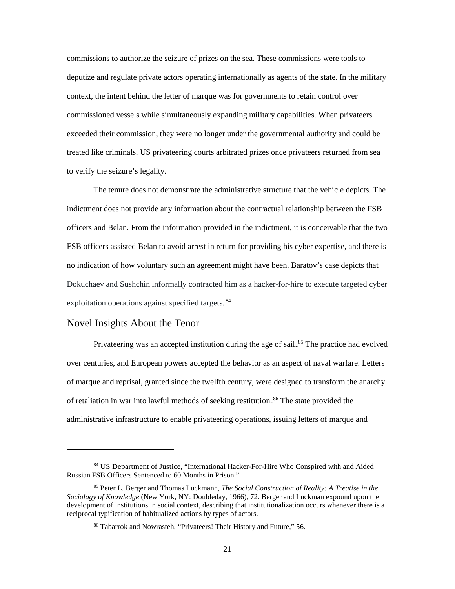commissions to authorize the seizure of prizes on the sea. These commissions were tools to deputize and regulate private actors operating internationally as agents of the state. In the military context, the intent behind the letter of marque was for governments to retain control over commissioned vessels while simultaneously expanding military capabilities. When privateers exceeded their commission, they were no longer under the governmental authority and could be treated like criminals. US privateering courts arbitrated prizes once privateers returned from sea to verify the seizure's legality.

The tenure does not demonstrate the administrative structure that the vehicle depicts. The indictment does not provide any information about the contractual relationship between the FSB officers and Belan. From the information provided in the indictment, it is conceivable that the two FSB officers assisted Belan to avoid arrest in return for providing his cyber expertise, and there is no indication of how voluntary such an agreement might have been. Baratov's case depicts that Dokuchaev and Sushchin informally contracted him as a hacker-for-hire to execute targeted cyber exploitation operations against specified targets.<sup>84</sup>

### <span id="page-28-0"></span>Novel Insights About the Tenor

 $\overline{a}$ 

Privateering was an accepted institution during the age of sail.<sup>85</sup> The practice had evolved over centuries, and European powers accepted the behavior as an aspect of naval warfare. Letters of marque and reprisal, granted since the twelfth century, were designed to transform the anarchy of retaliation in war into lawful methods of seeking restitution.<sup>86</sup> The state provided the administrative infrastructure to enable privateering operations, issuing letters of marque and

<sup>84</sup> US Department of Justice, "International Hacker-For-Hire Who Conspired with and Aided Russian FSB Officers Sentenced to 60 Months in Prison."

<sup>85</sup> Peter L. Berger and Thomas Luckmann, *The Social Construction of Reality: A Treatise in the Sociology of Knowledge* (New York, NY: Doubleday, 1966), 72. Berger and Luckman expound upon the development of institutions in social context, describing that institutionalization occurs whenever there is a reciprocal typification of habitualized actions by types of actors.

<sup>86</sup> Tabarrok and Nowrasteh, "Privateers! Their History and Future," 56.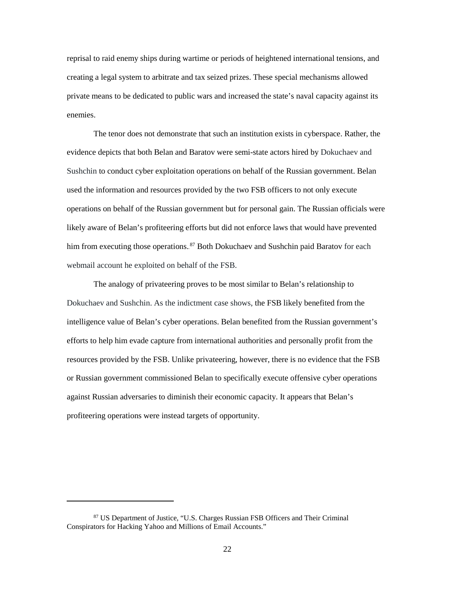reprisal to raid enemy ships during wartime or periods of heightened international tensions, and creating a legal system to arbitrate and tax seized prizes. These special mechanisms allowed private means to be dedicated to public wars and increased the state's naval capacity against its enemies.

The tenor does not demonstrate that such an institution exists in cyberspace. Rather, the evidence depicts that both Belan and Baratov were semi-state actors hired by Dokuchaev and Sushchin to conduct cyber exploitation operations on behalf of the Russian government. Belan used the information and resources provided by the two FSB officers to not only execute operations on behalf of the Russian government but for personal gain. The Russian officials were likely aware of Belan's profiteering efforts but did not enforce laws that would have prevented him from executing those operations.<sup>87</sup> Both Dokuchaev and Sushchin paid Baratov for each webmail account he exploited on behalf of the FSB.

The analogy of privateering proves to be most similar to Belan's relationship to Dokuchaev and Sushchin. As the indictment case shows, the FSB likely benefited from the intelligence value of Belan's cyber operations. Belan benefited from the Russian government's efforts to help him evade capture from international authorities and personally profit from the resources provided by the FSB. Unlike privateering, however, there is no evidence that the FSB or Russian government commissioned Belan to specifically execute offensive cyber operations against Russian adversaries to diminish their economic capacity. It appears that Belan's profiteering operations were instead targets of opportunity.

<sup>87</sup> US Department of Justice, "U.S. Charges Russian FSB Officers and Their Criminal Conspirators for Hacking Yahoo and Millions of Email Accounts."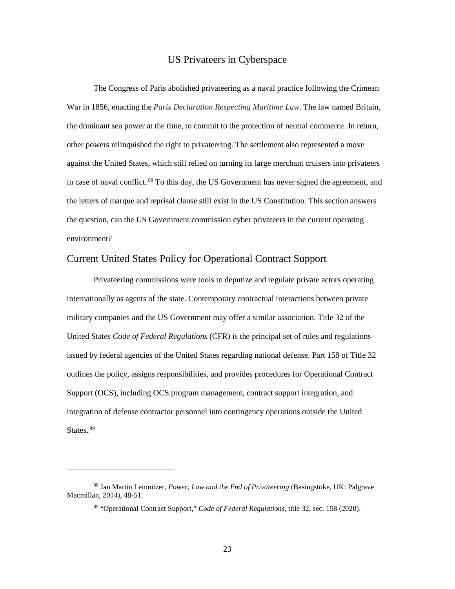#### US Privateers in Cyberspace

<span id="page-30-0"></span>The Congress of Paris abolished privateering as a naval practice following the Crimean War in 1856, enacting the *Paris Declaration Respecting Maritime Law*. The law named Britain, the dominant sea power at the time, to commit to the protection of neutral commerce. In return, other powers relinquished the right to privateering. The settlement also represented a move against the United States, which still relied on turning its large merchant cruisers into privateers in case of naval conflict.<sup>88</sup> To this day, the US Government has never signed the agreement, and the letters of marque and reprisal clause still exist in the US Constitution. This section answers the question, can the US Government commission cyber privateers in the current operating environment?

## <span id="page-30-1"></span>Current United States Policy for Operational Contract Support

Privateering commissions were tools to deputize and regulate private actors operating internationally as agents of the state. Contemporary contractual interactions between private military companies and the US Government may offer a similar association. Title 32 of the United States *Code of Federal Regulations* (CFR) is the principal set of rules and regulations issued by federal agencies of the United States regarding national defense. Part 158 of Title 32 outlines the policy, assigns responsibilities, and provides procedures for Operational Contract Support (OCS), including OCS program management, contract support integration, and integration of defense contractor personnel into contingency operations outside the United States.<sup>89</sup>

<sup>88</sup> Jan Martin Lemnitzer, *Power, Law and the End of Privateering* (Basingstoke, UK: Palgrave Macmillan, 2014), 48-51.

<sup>89 &</sup>quot;Operational Contract Support," *Code of Federal Regulations*, title 32, sec. 158 (2020).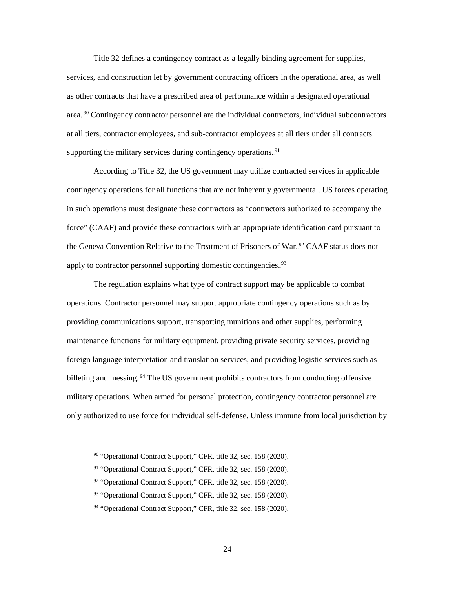Title 32 defines a contingency contract as a legally binding agreement for supplies, services, and construction let by government contracting officers in the operational area, as well as other contracts that have a prescribed area of performance within a designated operational area.<sup>90</sup> Contingency contractor personnel are the individual contractors, individual subcontractors at all tiers, contractor employees, and sub-contractor employees at all tiers under all contracts supporting the military services during contingency operations.<sup>91</sup>

According to Title 32, the US government may utilize contracted services in applicable contingency operations for all functions that are not inherently governmental. US forces operating in such operations must designate these contractors as "contractors authorized to accompany the force" (CAAF) and provide these contractors with an appropriate identification card pursuant to the Geneva Convention Relative to the Treatment of Prisoners of War.<sup>92</sup> CAAF status does not apply to contractor personnel supporting domestic contingencies.<sup>93</sup>

The regulation explains what type of contract support may be applicable to combat operations. Contractor personnel may support appropriate contingency operations such as by providing communications support, transporting munitions and other supplies, performing maintenance functions for military equipment, providing private security services, providing foreign language interpretation and translation services, and providing logistic services such as billeting and messing.<sup>94</sup> The US government prohibits contractors from conducting offensive military operations. When armed for personal protection, contingency contractor personnel are only authorized to use force for individual self-defense. Unless immune from local jurisdiction by

<sup>&</sup>lt;sup>90</sup> "Operational Contract Support," CFR, title 32, sec. 158 (2020).

<sup>&</sup>lt;sup>91</sup> "Operational Contract Support," CFR, title 32, sec. 158 (2020).

<sup>92</sup> "Operational Contract Support," CFR, title 32, sec. 158 (2020).

<sup>93 &</sup>quot;Operational Contract Support," CFR, title 32, sec. 158 (2020).

<sup>&</sup>lt;sup>94</sup> "Operational Contract Support," CFR, title 32, sec. 158 (2020).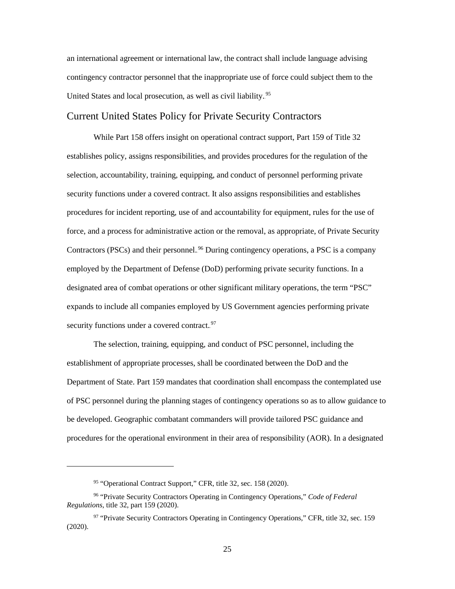an international agreement or international law, the contract shall include language advising contingency contractor personnel that the inappropriate use of force could subject them to the United States and local prosecution, as well as civil liability.<sup>95</sup>

### <span id="page-32-0"></span>Current United States Policy for Private Security Contractors

While Part 158 offers insight on operational contract support, Part 159 of Title 32 establishes policy, assigns responsibilities, and provides procedures for the regulation of the selection, accountability, training, equipping, and conduct of personnel performing private security functions under a covered contract. It also assigns responsibilities and establishes procedures for incident reporting, use of and accountability for equipment, rules for the use of force, and a process for administrative action or the removal, as appropriate, of Private Security Contractors (PSCs) and their personnel.<sup>96</sup> During contingency operations, a PSC is a company employed by the Department of Defense (DoD) performing private security functions. In a designated area of combat operations or other significant military operations, the term "PSC" expands to include all companies employed by US Government agencies performing private security functions under a covered contract.<sup>97</sup>

The selection, training, equipping, and conduct of PSC personnel, including the establishment of appropriate processes, shall be coordinated between the DoD and the Department of State. Part 159 mandates that coordination shall encompass the contemplated use of PSC personnel during the planning stages of contingency operations so as to allow guidance to be developed. Geographic combatant commanders will provide tailored PSC guidance and procedures for the operational environment in their area of responsibility (AOR). In a designated

 $\ddot{\phantom{a}}$ 

<sup>95</sup> "Operational Contract Support," CFR, title 32, sec. 158 (2020).

<sup>96 &</sup>quot;Private Security Contractors Operating in Contingency Operations," *Code of Federal Regulations*, title 32, part 159 (2020).

<sup>97 &</sup>quot;Private Security Contractors Operating in Contingency Operations," CFR, title 32, sec. 159 (2020).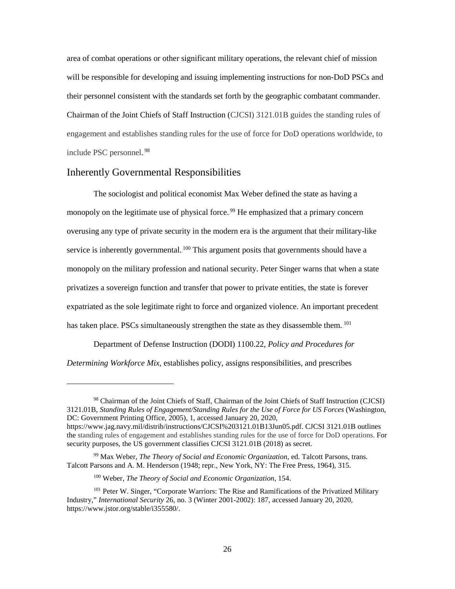area of combat operations or other significant military operations, the relevant chief of mission will be responsible for developing and issuing implementing instructions for non-DoD PSCs and their personnel consistent with the standards set forth by the geographic combatant commander. Chairman of the Joint Chiefs of Staff Instruction (CJCSI) 3121.01B guides the standing rules of engagement and establishes standing rules for the use of force for DoD operations worldwide, to include PSC personnel.<sup>98</sup>

#### <span id="page-33-0"></span>Inherently Governmental Responsibilities

 $\overline{a}$ 

The sociologist and political economist Max Weber defined the state as having a monopoly on the legitimate use of physical force.<sup>99</sup> He emphasized that a primary concern overusing any type of private security in the modern era is the argument that their military-like service is inherently governmental.<sup>100</sup> This argument posits that governments should have a monopoly on the military profession and national security. Peter Singer warns that when a state privatizes a sovereign function and transfer that power to private entities, the state is forever expatriated as the sole legitimate right to force and organized violence. An important precedent has taken place. PSCs simultaneously strengthen the state as they disassemble them.<sup>101</sup>

Department of Defense Instruction (DODI) 1100.22, *Policy and Procedures for Determining Workforce Mix*, establishes policy, assigns responsibilities, and prescribes

<sup>98</sup> Chairman of the Joint Chiefs of Staff, Chairman of the Joint Chiefs of Staff Instruction (CJCSI) 3121.01B, *Standing Rules of Engagement/Standing Rules for the Use of Force for US Forces* (Washington, DC: Government Printing Office, 2005), 1, accessed January 20, 2020, https://www.jag.navy.mil/distrib/instructions/CJCSI%203121.01B13Jun05.pdf. CJCSI 3121.01B outlines

the standing rules of engagement and establishes standing rules for the use of force for DoD operations. For security purposes, the US government classifies CJCSI 3121.01B (2018) as secret.

<sup>99</sup> Max Weber, *The Theory of Social and Economic Organization*, ed. Talcott Parsons, trans. Talcott Parsons and A. M. Henderson (1948; repr., New York, NY: The Free Press, 1964), 315.

<sup>100</sup> Weber, *The Theory of Social and Economic Organization*, 154.

<sup>&</sup>lt;sup>101</sup> Peter W. Singer, "Corporate Warriors: The Rise and Ramifications of the Privatized Military Industry," *International Security* 26, no. 3 (Winter 2001-2002): 187, accessed January 20, 2020, https://www.jstor.org/stable/i355580/.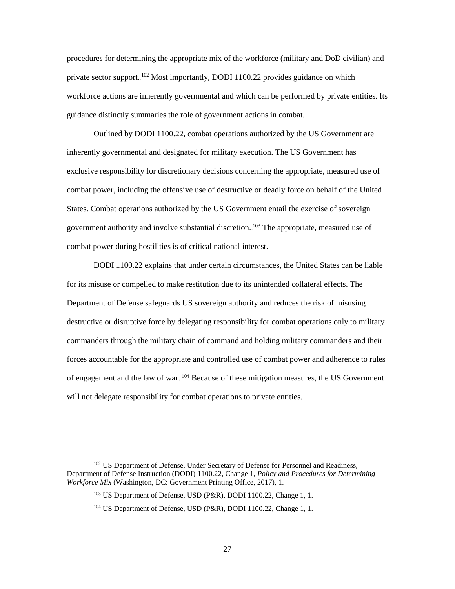procedures for determining the appropriate mix of the workforce (military and DoD civilian) and private sector support.<sup>102</sup> Most importantly, DODI 1100.22 provides guidance on which workforce actions are inherently governmental and which can be performed by private entities. Its guidance distinctly summaries the role of government actions in combat.

Outlined by DODI 1100.22, combat operations authorized by the US Government are inherently governmental and designated for military execution. The US Government has exclusive responsibility for discretionary decisions concerning the appropriate, measured use of combat power, including the offensive use of destructive or deadly force on behalf of the United States. Combat operations authorized by the US Government entail the exercise of sovereign government authority and involve substantial discretion. <sup>103</sup> The appropriate, measured use of combat power during hostilities is of critical national interest.

DODI 1100.22 explains that under certain circumstances, the United States can be liable for its misuse or compelled to make restitution due to its unintended collateral effects. The Department of Defense safeguards US sovereign authority and reduces the risk of misusing destructive or disruptive force by delegating responsibility for combat operations only to military commanders through the military chain of command and holding military commanders and their forces accountable for the appropriate and controlled use of combat power and adherence to rules of engagement and the law of war. <sup>104</sup> Because of these mitigation measures, the US Government will not delegate responsibility for combat operations to private entities.

<sup>&</sup>lt;sup>102</sup> US Department of Defense, Under Secretary of Defense for Personnel and Readiness, Department of Defense Instruction (DODI) 1100.22, Change 1*, Policy and Procedures for Determining Workforce Mix* (Washington, DC: Government Printing Office, 2017), 1.

<sup>&</sup>lt;sup>103</sup> US Department of Defense, USD (P&R), DODI 1100.22, Change 1, 1.

<sup>104</sup> US Department of Defense, USD (P&R), DODI 1100.22, Change 1, 1.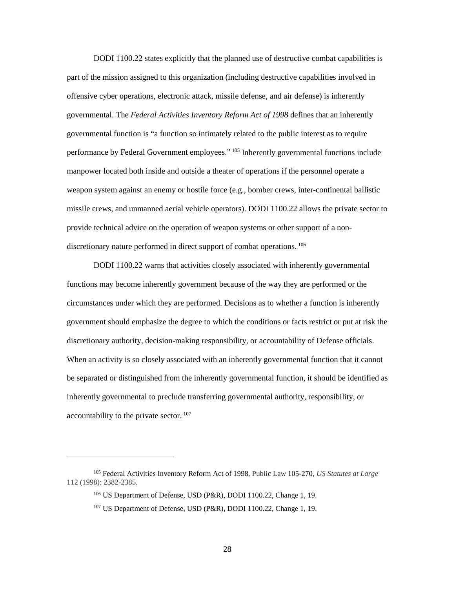DODI 1100.22 states explicitly that the planned use of destructive combat capabilities is part of the mission assigned to this organization (including destructive capabilities involved in offensive cyber operations, electronic attack, missile defense, and air defense) is inherently governmental. The *Federal Activities Inventory Reform Act of 1998* defines that an inherently governmental function is "a function so intimately related to the public interest as to require performance by Federal Government employees." <sup>105</sup> Inherently governmental functions include manpower located both inside and outside a theater of operations if the personnel operate a weapon system against an enemy or hostile force (e.g., bomber crews, inter-continental ballistic missile crews, and unmanned aerial vehicle operators). DODI 1100.22 allows the private sector to provide technical advice on the operation of weapon systems or other support of a nondiscretionary nature performed in direct support of combat operations.<sup>106</sup>

DODI 1100.22 warns that activities closely associated with inherently governmental functions may become inherently government because of the way they are performed or the circumstances under which they are performed. Decisions as to whether a function is inherently government should emphasize the degree to which the conditions or facts restrict or put at risk the discretionary authority, decision-making responsibility, or accountability of Defense officials. When an activity is so closely associated with an inherently governmental function that it cannot be separated or distinguished from the inherently governmental function, it should be identified as inherently governmental to preclude transferring governmental authority, responsibility, or accountability to the private sector. $107$ 

<sup>105</sup> Federal Activities Inventory Reform Act of 1998, Public Law 105-270, *US Statutes at Large* 112 (1998): 2382-2385.

<sup>106</sup> US Department of Defense, USD (P&R), DODI 1100.22, Change 1, 19.

<sup>107</sup> US Department of Defense, USD (P&R), DODI 1100.22, Change 1, 19.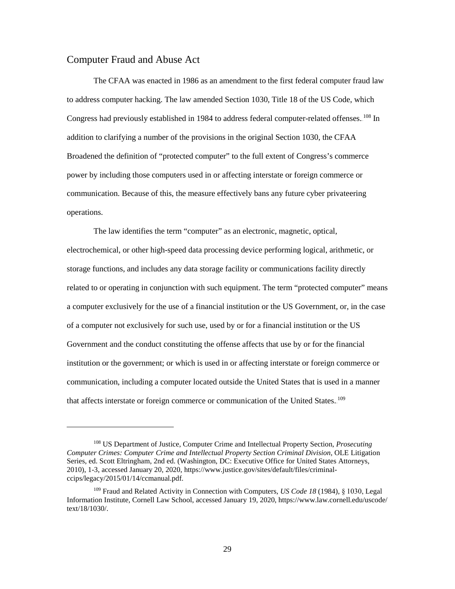#### <span id="page-36-0"></span>Computer Fraud and Abuse Act

 $\overline{a}$ 

The CFAA was enacted in 1986 as an amendment to the first federal computer fraud law to address computer hacking. The law amended Section 1030, Title 18 of the US Code, which Congress had previously established in 1984 to address federal computer-related offenses. <sup>108</sup> In addition to clarifying a number of the provisions in the original Section 1030, the CFAA Broadened the definition of "protected computer" to the full extent of Congress's commerce power by including those computers used in or affecting interstate or foreign commerce or communication. Because of this, the measure effectively bans any future cyber privateering operations.

The law identifies the term "computer" as an electronic, magnetic, optical, electrochemical, or other high-speed data processing device performing logical, arithmetic, or storage functions, and includes any data storage facility or communications facility directly related to or operating in conjunction with such equipment. The term "protected computer" means a computer exclusively for the use of a financial institution or the US Government, or, in the case of a computer not exclusively for such use, used by or for a financial institution or the US Government and the conduct constituting the offense affects that use by or for the financial institution or the government; or which is used in or affecting interstate or foreign commerce or communication, including a computer located outside the United States that is used in a manner that affects interstate or foreign commerce or communication of the United States. 109

<sup>108</sup> US Department of Justice, Computer Crime and Intellectual Property Section, *Prosecuting Computer Crimes: Computer Crime and Intellectual Property Section Criminal Division*, OLE Litigation Series, ed. Scott Eltringham, 2nd ed. (Washington, DC: Executive Office for United States Attorneys, 2010), 1-3, accessed January 20, 2020, https://www.justice.gov/sites/default/files/criminalccips/legacy/2015/01/14/ccmanual.pdf.

<sup>109</sup> Fraud and Related Activity in Connection with Computers, *US Code 18* (1984), § 1030, Legal Information Institute, Cornell Law School, accessed January 19, 2020, https://www.law.cornell.edu/uscode/ text/18/1030/.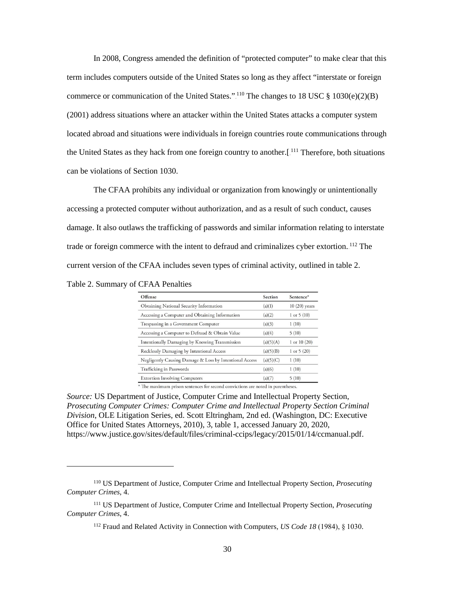In 2008, Congress amended the definition of "protected computer" to make clear that this term includes computers outside of the United States so long as they affect "interstate or foreign commerce or communication of the United States.".<sup>110</sup> The changes to 18 USC  $\S 1030(e)(2)(B)$ (2001) address situations where an attacker within the United States attacks a computer system located abroad and situations were individuals in foreign countries route communications through the United States as they hack from one foreign country to another.<sup>[111</sup> Therefore, both situations can be violations of Section 1030.

The CFAA prohibits any individual or organization from knowingly or unintentionally accessing a protected computer without authorization, and as a result of such conduct, causes damage. It also outlaws the trafficking of passwords and similar information relating to interstate trade or foreign commerce with the intent to defraud and criminalizes cyber extortion. <sup>112</sup> The current version of the CFAA includes seven types of criminal activity, outlined in [table 2.](#page-37-0)

<span id="page-37-0"></span>Table 2. Summary of CFAA Penalties

 $\ddot{\phantom{a}}$ 

| Offense                                                 | Section   | Sentence*       |
|---------------------------------------------------------|-----------|-----------------|
| Obtaining National Security Information                 | (a)(1)    | $10(20)$ years  |
| Accessing a Computer and Obtaining Information          | (a)(2)    | $1$ or $5(10)$  |
| Trespassing in a Government Computer                    | (a)(3)    | 1(10)           |
| Accessing a Computer to Defraud & Obtain Value          | (a)(4)    | 5(10)           |
| Intentionally Damaging by Knowing Transmission          | (a)(5)(A) | $1$ or $10(20)$ |
| Recklessly Damaging by Intentional Access               | (a)(5)(B) | $1$ or $5(20)$  |
| Negligently Causing Damage & Loss by Intentional Access | (a)(5)(C) | 1(10)           |
| Trafficking in Passwords                                | (a)(6)    | 1(10)           |
| <b>Extortion Involving Computers</b>                    | (a)(7)    | 5(10)           |

\* The maximum prison sentences for second convictions are noted in parentheses.

*Source:* US Department of Justice, Computer Crime and Intellectual Property Section, *Prosecuting Computer Crimes: Computer Crime and Intellectual Property Section Criminal Division*, OLE Litigation Series, ed. Scott Eltringham, 2nd ed. (Washington, DC: Executive Office for United States Attorneys, 2010), 3, table 1, accessed January 20, 2020, https://www.justice.gov/sites/default/files/criminal-ccips/legacy/2015/01/14/ccmanual.pdf.

<sup>110</sup> US Department of Justice, Computer Crime and Intellectual Property Section, *Prosecuting Computer Crimes*, 4.

<sup>111</sup> US Department of Justice, Computer Crime and Intellectual Property Section, *Prosecuting Computer Crimes*, 4.

<sup>112</sup> Fraud and Related Activity in Connection with Computers, *US Code 18* (1984), § 1030.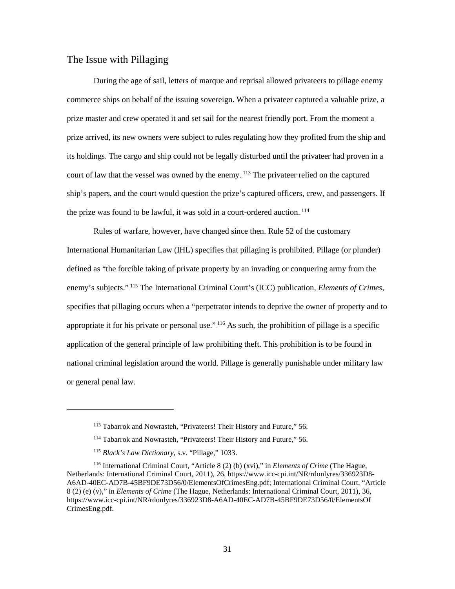### <span id="page-38-0"></span>The Issue with Pillaging

During the age of sail, letters of marque and reprisal allowed privateers to pillage enemy commerce ships on behalf of the issuing sovereign. When a privateer captured a valuable prize, a prize master and crew operated it and set sail for the nearest friendly port. From the moment a prize arrived, its new owners were subject to rules regulating how they profited from the ship and its holdings. The cargo and ship could not be legally disturbed until the privateer had proven in a court of law that the vessel was owned by the enemy.<sup>113</sup> The privateer relied on the captured ship's papers, and the court would question the prize's captured officers, crew, and passengers. If the prize was found to be lawful, it was sold in a court-ordered auction.<sup>114</sup>

Rules of warfare, however, have changed since then. Rule 52 of the customary International Humanitarian Law (IHL) specifies that pillaging is prohibited. Pillage (or plunder) defined as "the forcible taking of private property by an invading or conquering army from the enemy's subjects.".<sup>115</sup> The International Criminal Court's (ICC) publication, *Elements of Crimes*, specifies that pillaging occurs when a "perpetrator intends to deprive the owner of property and to appropriate it for his private or personal use.".<sup>116</sup> As such, the prohibition of pillage is a specific application of the general principle of law prohibiting theft. This prohibition is to be found in national criminal legislation around the world. Pillage is generally punishable under military law or general penal law.

<sup>113</sup> Tabarrok and Nowrasteh, "Privateers! Their History and Future," 56.

<sup>114</sup> Tabarrok and Nowrasteh, "Privateers! Their History and Future," 56.

<sup>115</sup> *Black's Law Dictionary*, s.v. "Pillage," 1033.

<sup>116</sup> International Criminal Court, "Article 8 (2) (b) (xvi)," in *Elements of Crime* (The Hague, Netherlands: International Criminal Court, 2011), 26, https://www.icc-cpi.int/NR/rdonlyres/336923D8- A6AD-40EC-AD7B-45BF9DE73D56/0/ElementsOfCrimesEng.pdf; International Criminal Court, "Article 8 (2) (e) (v)," in *Elements of Crime* (The Hague, Netherlands: International Criminal Court, 2011), 36, https://www.icc-cpi.int/NR/rdonlyres/336923D8-A6AD-40EC-AD7B-45BF9DE73D56/0/ElementsOf CrimesEng.pdf.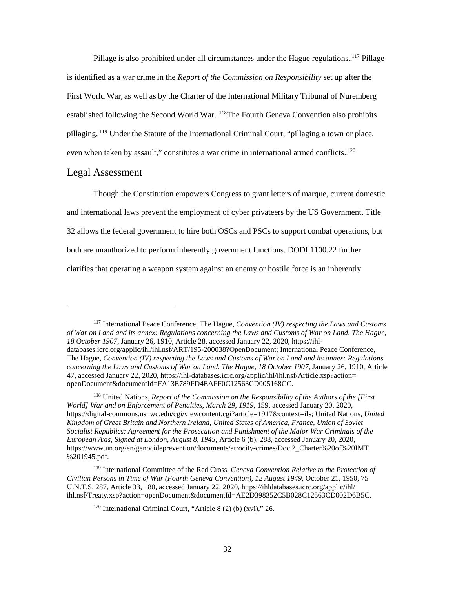Pillage is also prohibited under all circumstances under the Hague regulations. <sup>117</sup> Pillage is identified as a war crime in the *Report of the Commission on Responsibility* set up after the First World War, as well as by the Charter of the International Military Tribunal of Nuremberg established following the Second World War. <sup>118</sup>The Fourth Geneva Convention also prohibits pillaging.<sup>119</sup> Under the Statute of the International Criminal Court, "pillaging a town or place, even when taken by assault," constitutes a war crime in international armed conflicts. $120$ 

#### <span id="page-39-0"></span>Legal Assessment

 $\overline{a}$ 

Though the Constitution empowers Congress to grant letters of marque, current domestic and international laws prevent the employment of cyber privateers by the US Government. Title 32 allows the federal government to hire both OSCs and PSCs to support combat operations, but both are unauthorized to perform inherently government functions. DODI 1100.22 further clarifies that operating a weapon system against an enemy or hostile force is an inherently

<sup>117</sup> International Peace Conference, The Hague, *Convention (IV) respecting the Laws and Customs of War on Land and its annex: Regulations concerning the Laws and Customs of War on Land. The Hague, 18 October 1907,* January 26, 1910, Article 28, accessed January 22, 2020, https://ihldatabases.icrc.org/applic/ihl/ihl.nsf/ART/195-200038?OpenDocument; International Peace Conference, The Hague, *Convention (IV) respecting the Laws and Customs of War on Land and its annex: Regulations concerning the Laws and Customs of War on Land. The Hague, 18 October 1907*, January 26, 1910, Article 47, accessed January 22, 2020, https://ihl-databases.icrc.org/applic/ihl/ihl.nsf/Article.xsp?action= openDocument&documentId=FA13E789FD4EAFF0C12563CD005168CC.

<sup>118</sup> United Nations, *Report of the Commission on the Responsibility of the Authors of the [First World] War and on Enforcement of Penalties, March 29, 1919*, 159, accessed January 20, 2020, https://digital-commons.usnwc.edu/cgi/viewcontent.cgi?article=1917&context=ils; United Nations, *United Kingdom of Great Britain and Northern Ireland, United States of America, France, Union of Soviet Socialist Republics: Agreement for the Prosecution and Punishment of the Major War Criminals of the European Axis, Signed at London, August 8, 1945*, Article 6 (b), 288, accessed January 20, 2020, https://www.un.org/en/genocideprevention/documents/atrocity-crimes/Doc.2\_Charter%20of%20IMT %201945.pdf.

<sup>119</sup> International Committee of the Red Cross, *Geneva Convention Relative to the Protection of Civilian Persons in Time of War (Fourth Geneva Convention), 12 August 1949*, October 21, 1950, 75 U.N.T.S. 287, Article 33, 180, accessed January 22, 2020, https://ihldatabases.icrc.org/applic/ihl/ ihl.nsf/Treaty.xsp?action=openDocument&documentId=AE2D398352C5B028C12563CD002D6B5C.

<sup>120</sup> International Criminal Court, "Article 8 (2) (b) (xvi)," 26.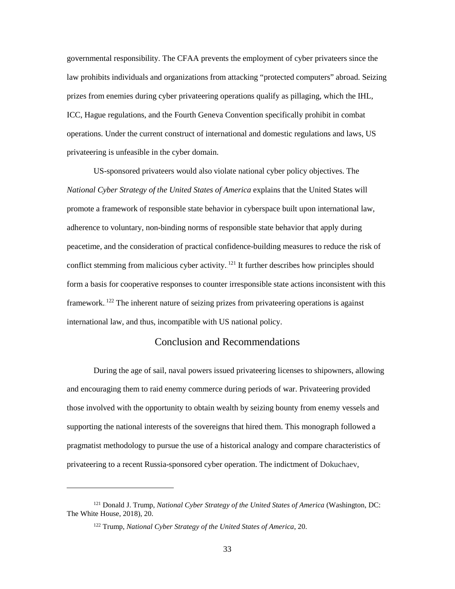governmental responsibility. The CFAA prevents the employment of cyber privateers since the law prohibits individuals and organizations from attacking "protected computers" abroad. Seizing prizes from enemies during cyber privateering operations qualify as pillaging, which the IHL, ICC, Hague regulations, and the Fourth Geneva Convention specifically prohibit in combat operations. Under the current construct of international and domestic regulations and laws, US privateering is unfeasible in the cyber domain.

US-sponsored privateers would also violate national cyber policy objectives. The *National Cyber Strategy of the United States of America* explains that the United States will promote a framework of responsible state behavior in cyberspace built upon international law, adherence to voluntary, non-binding norms of responsible state behavior that apply during peacetime, and the consideration of practical confidence-building measures to reduce the risk of conflict stemming from malicious cyber activity.  $^{121}$  It further describes how principles should form a basis for cooperative responses to counter irresponsible state actions inconsistent with this framework.<sup>122</sup> The inherent nature of seizing prizes from privateering operations is against international law, and thus, incompatible with US national policy.

#### Conclusion and Recommendations

<span id="page-40-0"></span>During the age of sail, naval powers issued privateering licenses to shipowners, allowing and encouraging them to raid enemy commerce during periods of war. Privateering provided those involved with the opportunity to obtain wealth by seizing bounty from enemy vessels and supporting the national interests of the sovereigns that hired them. This monograph followed a pragmatist methodology to pursue the use of a historical analogy and compare characteristics of privateering to a recent Russia-sponsored cyber operation. The indictment of Dokuchaev,

<sup>121</sup> Donald J. Trump, *National Cyber Strategy of the United States of America* (Washington, DC: The White House, 2018), 20.

<sup>122</sup> Trump, *National Cyber Strategy of the United States of America*, 20.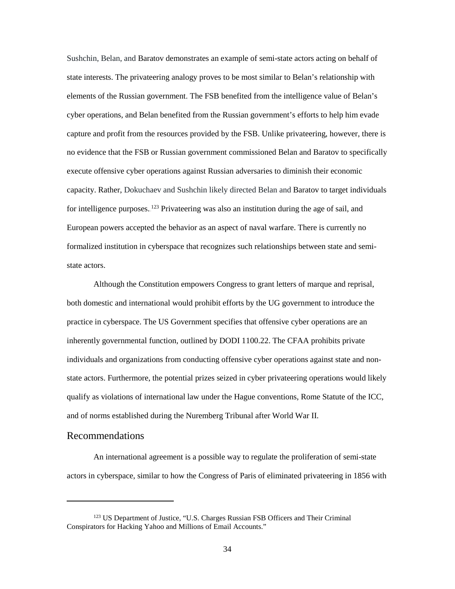Sushchin, Belan, and Baratov demonstrates an example of semi-state actors acting on behalf of state interests. The privateering analogy proves to be most similar to Belan's relationship with elements of the Russian government. The FSB benefited from the intelligence value of Belan's cyber operations, and Belan benefited from the Russian government's efforts to help him evade capture and profit from the resources provided by the FSB. Unlike privateering, however, there is no evidence that the FSB or Russian government commissioned Belan and Baratov to specifically execute offensive cyber operations against Russian adversaries to diminish their economic capacity. Rather, Dokuchaev and Sushchin likely directed Belan and Baratov to target individuals for intelligence purposes. <sup>123</sup> Privateering was also an institution during the age of sail, and European powers accepted the behavior as an aspect of naval warfare. There is currently no formalized institution in cyberspace that recognizes such relationships between state and semistate actors.

Although the Constitution empowers Congress to grant letters of marque and reprisal, both domestic and international would prohibit efforts by the UG government to introduce the practice in cyberspace. The US Government specifies that offensive cyber operations are an inherently governmental function, outlined by DODI 1100.22. The CFAA prohibits private individuals and organizations from conducting offensive cyber operations against state and nonstate actors. Furthermore, the potential prizes seized in cyber privateering operations would likely qualify as violations of international law under the Hague conventions, Rome Statute of the ICC, and of norms established during the Nuremberg Tribunal after World War II.

#### <span id="page-41-0"></span>Recommendations

 $\overline{a}$ 

An international agreement is a possible way to regulate the proliferation of semi-state actors in cyberspace, similar to how the Congress of Paris of eliminated privateering in 1856 with

<sup>123</sup> US Department of Justice, "U.S. Charges Russian FSB Officers and Their Criminal Conspirators for Hacking Yahoo and Millions of Email Accounts."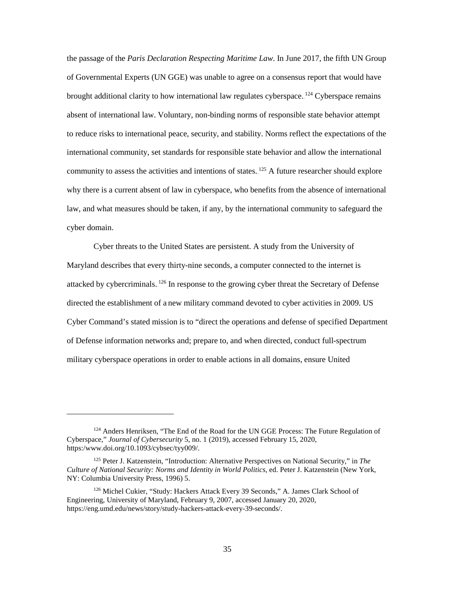the passage of the *Paris Declaration Respecting Maritime Law*. In June 2017, the fifth UN Group of Governmental Experts (UN GGE) was unable to agree on a consensus report that would have brought additional clarity to how international law regulates cyberspace.<sup>124</sup> Cyberspace remains absent of international law. Voluntary, non-binding norms of responsible state behavior attempt to reduce risks to international peace, security, and stability. Norms reflect the expectations of the international community, set standards for responsible state behavior and allow the international community to assess the activities and intentions of states. $125$  A future researcher should explore why there is a current absent of law in cyberspace, who benefits from the absence of international law, and what measures should be taken, if any, by the international community to safeguard the cyber domain.

Cyber threats to the United States are persistent. A study from the University of Maryland describes that every thirty-nine seconds, a computer connected to the internet is attacked by cybercriminals.<sup>126</sup> In response to the growing cyber threat the Secretary of Defense directed the establishment of a new military command devoted to cyber activities in 2009. US Cyber Command's stated mission is to "direct the operations and defense of specified Department of Defense information networks and; prepare to, and when directed, conduct full-spectrum military cyberspace operations in order to enable actions in all domains, ensure United

<sup>&</sup>lt;sup>124</sup> Anders Henriksen, "The End of the Road for the UN GGE Process: The Future Regulation of Cyberspace," *Journal of Cybersecurity* 5, no. 1 (2019), accessed February 15, 2020, https:/www.doi.org/10.1093/cybsec/tyy009/.

<sup>125</sup> Peter J. Katzenstein, "Introduction: Alternative Perspectives on National Security," in *The Culture of National Security: Norms and Identity in World Politics*, ed. Peter J. Katzenstein (New York, NY: Columbia University Press, 1996) 5.

<sup>126</sup> Michel Cukier, "Study: Hackers Attack Every 39 Seconds," A. James Clark School of Engineering, University of Maryland, February 9, 2007, accessed January 20, 2020, https://eng.umd.edu/news/story/study-hackers-attack-every-39-seconds/.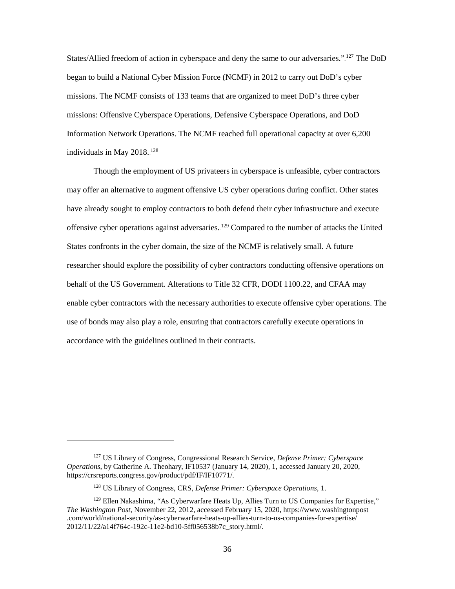States/Allied freedom of action in cyberspace and deny the same to our adversaries."<sup>127</sup> The DoD began to build a National Cyber Mission Force (NCMF) in 2012 to carry out DoD's cyber missions. The NCMF consists of 133 teams that are organized to meet DoD's three cyber missions: Offensive Cyberspace Operations, Defensive Cyberspace Operations, and DoD Information Network Operations. The NCMF reached full operational capacity at over 6,200 individuals in May  $2018.<sup>128</sup>$ 

Though the employment of US privateers in cyberspace is unfeasible, cyber contractors may offer an alternative to augment offensive US cyber operations during conflict. Other states have already sought to employ contractors to both defend their cyber infrastructure and execute offensive cyber operations against adversaries. <sup>129</sup> Compared to the number of attacks the United States confronts in the cyber domain, the size of the NCMF is relatively small. A future researcher should explore the possibility of cyber contractors conducting offensive operations on behalf of the US Government. Alterations to Title 32 CFR, DODI 1100.22, and CFAA may enable cyber contractors with the necessary authorities to execute offensive cyber operations. The use of bonds may also play a role, ensuring that contractors carefully execute operations in accordance with the guidelines outlined in their contracts.

<sup>127</sup> US Library of Congress, Congressional Research Service, *Defense Primer: Cyberspace Operations*, by Catherine A. Theohary, IF10537 (January 14, 2020), 1, accessed January 20, 2020, https://crsreports.congress.gov/product/pdf/IF/IF10771/.

<sup>128</sup> US Library of Congress, CRS, *Defense Primer: Cyberspace Operations*, 1.

 $129$  Ellen Nakashima, "As Cyberwarfare Heats Up, Allies Turn to US Companies for Expertise," *The Washington Post*, November 22, 2012, accessed February 15, 2020, https://www.washingtonpost .com/world/national-security/as-cyberwarfare-heats-up-allies-turn-to-us-companies-for-expertise/ 2012/11/22/a14f764c-192c-11e2-bd10-5ff056538b7c\_story.html/.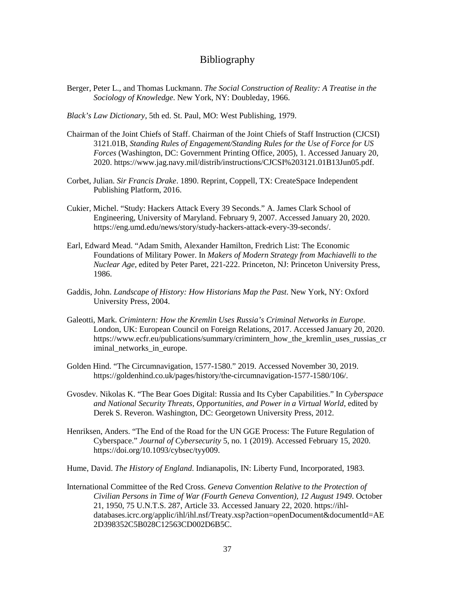## Bibliography

<span id="page-44-0"></span>Berger, Peter L., and Thomas Luckmann. *The Social Construction of Reality: A Treatise in the Sociology of Knowledge*. New York, NY: Doubleday, 1966.

*Black's Law Dictionary*, 5th ed. St. Paul, MO: West Publishing, 1979.

- Chairman of the Joint Chiefs of Staff. Chairman of the Joint Chiefs of Staff Instruction (CJCSI) 3121.01B, *Standing Rules of Engagement/Standing Rules for the Use of Force for US Forces* (Washington, DC: Government Printing Office, 2005), 1. Accessed January 20, 2020. https://www.jag.navy.mil/distrib/instructions/CJCSI%203121.01B13Jun05.pdf.
- Corbet, Julian. *Sir Francis Drake*. 1890. Reprint, Coppell, TX: CreateSpace Independent Publishing Platform, 2016.
- Cukier, Michel. "Study: Hackers Attack Every 39 Seconds." A. James Clark School of Engineering, University of Maryland. February 9, 2007. Accessed January 20, 2020. https://eng.umd.edu/news/story/study-hackers-attack-every-39-seconds/.
- Earl, Edward Mead. "Adam Smith, Alexander Hamilton, Fredrich List: The Economic Foundations of Military Power. In *Makers of Modern Strategy from Machiavelli to the Nuclear Age*, edited by Peter Paret, 221-222. Princeton, NJ: Princeton University Press, 1986.
- Gaddis, John. *Landscape of History: How Historians Map the Past*. New York, NY: Oxford University Press, 2004.
- Galeotti, Mark. *Crimintern: How the Kremlin Uses Russia's Criminal Networks in Europe*. London, UK: European Council on Foreign Relations, 2017. Accessed January 20, 2020. https://www.ecfr.eu/publications/summary/crimintern\_how\_the\_kremlin\_uses\_russias\_cr iminal networks in europe.
- Golden Hind. "The Circumnavigation, 1577-1580." 2019. Accessed November 30, 2019. https://goldenhind.co.uk/pages/history/the-circumnavigation-1577-1580/106/.
- Gvosdev. Nikolas K. "The Bear Goes Digital: Russia and Its Cyber Capabilities." In *Cyberspace and National Security Threats, Opportunities, and Power in a Virtual World*, edited by Derek S. Reveron. Washington, DC: Georgetown University Press, 2012.
- Henriksen, Anders. "The End of the Road for the UN GGE Process: The Future Regulation of Cyberspace." *Journal of Cybersecurity* 5, no. 1 (2019). Accessed February 15, 2020. https://doi.org/10.1093/cybsec/tyy009.
- Hume, David. *The History of England*. Indianapolis, IN: Liberty Fund, Incorporated, 1983.
- International Committee of the Red Cross. *Geneva Convention Relative to the Protection of Civilian Persons in Time of War (Fourth Geneva Convention), 12 August 1949*. October 21, 1950, 75 U.N.T.S. 287, Article 33. Accessed January 22, 2020. https://ihldatabases.icrc.org/applic/ihl/ihl.nsf/Treaty.xsp?action=openDocument&documentId=AE 2D398352C5B028C12563CD002D6B5C.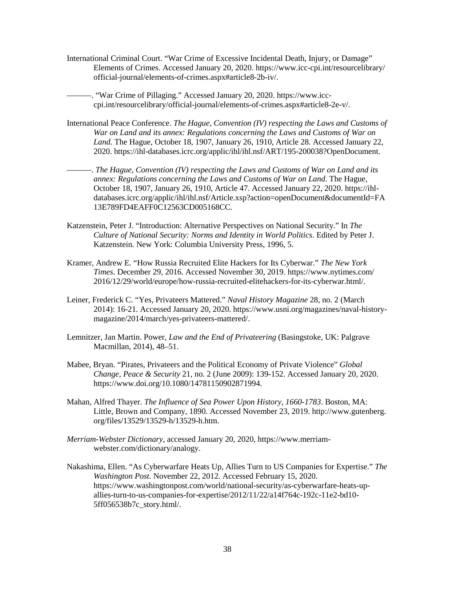International Criminal Court. "War Crime of Excessive Incidental Death, Injury, or Damage" Elements of Crimes. Accessed January 20, 2020. https://www.icc-cpi.int/resourcelibrary/ official-journal/elements-of-crimes.aspx#article8-2b-iv/.

-. "War Crime of Pillaging." Accessed January 20, 2020. https://www.icccpi.int/resourcelibrary/official-journal/elements-of-crimes.aspx#article8-2e-v/.

- International Peace Conference. *The Hague, Convention (IV) respecting the Laws and Customs of War on Land and its annex: Regulations concerning the Laws and Customs of War on Land*. The Hague, October 18, 1907, January 26, 1910, Article 28. Accessed January 22, 2020. https://ihl-databases.icrc.org/applic/ihl/ihl.nsf/ART/195-200038?OpenDocument.
- ———. *The Hague, Convention (IV) respecting the Laws and Customs of War on Land and its annex: Regulations concerning the Laws and Customs of War on Land*. The Hague, October 18, 1907, January 26, 1910, Article 47. Accessed January 22, 2020. https://ihldatabases.icrc.org/applic/ihl/ihl.nsf/Article.xsp?action=openDocument&documentId=FA 13E789FD4EAFF0C12563CD005168CC.
- Katzenstein, Peter J. "Introduction: Alternative Perspectives on National Security." In *The Culture of National Security: Norms and Identity in World Politics*. Edited by Peter J. Katzenstein. New York: Columbia University Press, 1996, 5.
- Kramer, Andrew E. "How Russia Recruited Elite Hackers for Its Cyberwar." *The New York Times*. December 29, 2016. Accessed November 30, 2019. https://www.nytimes.com/ 2016/12/29/world/europe/how-russia-recruited-elitehackers-for-its-cyberwar.html/.
- Leiner, Frederick C. "Yes, Privateers Mattered." *Naval History Magazine* 28, no. 2 (March 2014): 16-21. Accessed January 20, 2020. https://www.usni.org/magazines/naval-historymagazine/2014/march/yes-privateers-mattered/.
- Lemnitzer, Jan Martin. Power, *Law and the End of Privateering* (Basingstoke, UK: Palgrave Macmillan, 2014), 48–51.
- Mabee, Bryan. "Pirates, Privateers and the Political Economy of Private Violence" *Global Change, Peace & Security* 21, no. 2 (June 2009): 139-152. Accessed January 20, 2020. https://www.doi.org/10.1080/14781150902871994.
- Mahan, Alfred Thayer. *The Influence of Sea Power Upon History, 1660-1783*. Boston, MA: Little, Brown and Company, 1890. Accessed November 23, 2019. http://www.gutenberg. org/files/13529/13529-h/13529-h.htm.
- *Merriam-Webster Dictionary*, accessed January 20, 2020, https://www.merriamwebster.com/dictionary/analogy.
- Nakashima, Ellen. "As Cyberwarfare Heats Up, Allies Turn to US Companies for Expertise." *The Washington Post*. November 22, 2012. Accessed February 15, 2020. https://www.washingtonpost.com/world/national-security/as-cyberwarfare-heats-upallies-turn-to-us-companies-for-expertise/2012/11/22/a14f764c-192c-11e2-bd10- 5ff056538b7c\_story.html/.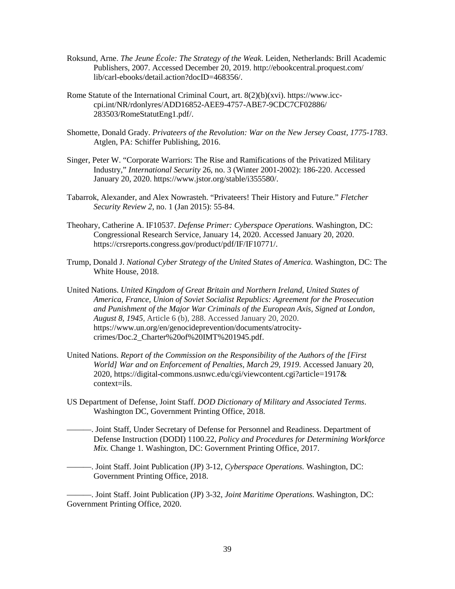- Roksund, Arne. *The Jeune École: The Strategy of the Weak*. Leiden, Netherlands: Brill Academic Publishers, 2007. Accessed December 20, 2019. http://ebookcentral.proquest.com/ lib/carl-ebooks/detail.action?docID=468356/.
- Rome Statute of the International Criminal Court, art. 8(2)(b)(xvi). https://www.icccpi.int/NR/rdonlyres/ADD16852-AEE9-4757-ABE7-9CDC7CF02886/ 283503/RomeStatutEng1.pdf/.
- Shomette, Donald Grady. *Privateers of the Revolution: War on the New Jersey Coast, 1775-1783*. Atglen, PA: Schiffer Publishing, 2016.
- Singer, Peter W. "Corporate Warriors: The Rise and Ramifications of the Privatized Military Industry," *International Security* 26, no. 3 (Winter 2001-2002): 186-220. Accessed January 20, 2020. https://www.jstor.org/stable/i355580/.
- Tabarrok, Alexander, and Alex Nowrasteh. "Privateers! Their History and Future." *Fletcher Security Review 2*, no. 1 (Jan 2015): 55-84.
- Theohary, Catherine A. IF10537. *Defense Primer: Cyberspace Operations*. Washington, DC: Congressional Research Service, January 14, 2020. Accessed January 20, 2020. https://crsreports.congress.gov/product/pdf/IF/IF10771/.
- Trump, Donald J. *National Cyber Strategy of the United States of America*. Washington, DC: The White House, 2018.
- United Nations. *United Kingdom of Great Britain and Northern Ireland, United States of America, France, Union of Soviet Socialist Republics: Agreement for the Prosecution and Punishment of the Major War Criminals of the European Axis, Signed at London, August 8, 1945*, Article 6 (b), 288. Accessed January 20, 2020. https://www.un.org/en/genocideprevention/documents/atrocitycrimes/Doc.2\_Charter%20of%20IMT%201945.pdf.
- United Nations. *Report of the Commission on the Responsibility of the Authors of the [First World] War and on Enforcement of Penalties, March 29, 1919*. Accessed January 20, 2020, https://digital-commons.usnwc.edu/cgi/viewcontent.cgi?article=1917& context=ils.
- US Department of Defense, Joint Staff. *DOD Dictionary of Military and Associated Terms*. Washington DC, Government Printing Office, 2018.
- ———. Joint Staff, Under Secretary of Defense for Personnel and Readiness. Department of Defense Instruction (DODI) 1100.22, *Policy and Procedures for Determining Workforce Mix.* Change 1*.* Washington, DC: Government Printing Office, 2017.
- ———. Joint Staff. Joint Publication (JP) 3-12, *Cyberspace Operations.* Washington, DC: Government Printing Office, 2018.

———. Joint Staff. Joint Publication (JP) 3-32, *Joint Maritime Operations.* Washington, DC: Government Printing Office, 2020.